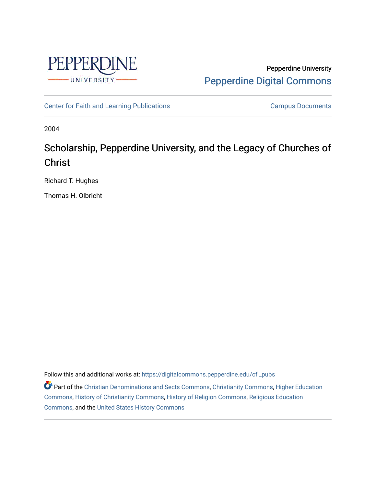

Pepperdine University [Pepperdine Digital Commons](https://digitalcommons.pepperdine.edu/) 

[Center for Faith and Learning Publications](https://digitalcommons.pepperdine.edu/cfl_pubs) **Campus Documents** Campus Documents

2004

### Scholarship, Pepperdine University, and the Legacy of Churches of Christ

Richard T. Hughes

Thomas H. Olbricht

Follow this and additional works at: [https://digitalcommons.pepperdine.edu/cfl\\_pubs](https://digitalcommons.pepperdine.edu/cfl_pubs?utm_source=digitalcommons.pepperdine.edu%2Fcfl_pubs%2F1&utm_medium=PDF&utm_campaign=PDFCoverPages)

**P** Part of the [Christian Denominations and Sects Commons,](http://network.bepress.com/hgg/discipline/1184?utm_source=digitalcommons.pepperdine.edu%2Fcfl_pubs%2F1&utm_medium=PDF&utm_campaign=PDFCoverPages) [Christianity Commons,](http://network.bepress.com/hgg/discipline/1181?utm_source=digitalcommons.pepperdine.edu%2Fcfl_pubs%2F1&utm_medium=PDF&utm_campaign=PDFCoverPages) [Higher Education](http://network.bepress.com/hgg/discipline/1245?utm_source=digitalcommons.pepperdine.edu%2Fcfl_pubs%2F1&utm_medium=PDF&utm_campaign=PDFCoverPages) [Commons](http://network.bepress.com/hgg/discipline/1245?utm_source=digitalcommons.pepperdine.edu%2Fcfl_pubs%2F1&utm_medium=PDF&utm_campaign=PDFCoverPages), [History of Christianity Commons](http://network.bepress.com/hgg/discipline/1182?utm_source=digitalcommons.pepperdine.edu%2Fcfl_pubs%2F1&utm_medium=PDF&utm_campaign=PDFCoverPages), [History of Religion Commons,](http://network.bepress.com/hgg/discipline/499?utm_source=digitalcommons.pepperdine.edu%2Fcfl_pubs%2F1&utm_medium=PDF&utm_campaign=PDFCoverPages) [Religious Education](http://network.bepress.com/hgg/discipline/1414?utm_source=digitalcommons.pepperdine.edu%2Fcfl_pubs%2F1&utm_medium=PDF&utm_campaign=PDFCoverPages)  [Commons](http://network.bepress.com/hgg/discipline/1414?utm_source=digitalcommons.pepperdine.edu%2Fcfl_pubs%2F1&utm_medium=PDF&utm_campaign=PDFCoverPages), and the [United States History Commons](http://network.bepress.com/hgg/discipline/495?utm_source=digitalcommons.pepperdine.edu%2Fcfl_pubs%2F1&utm_medium=PDF&utm_campaign=PDFCoverPages)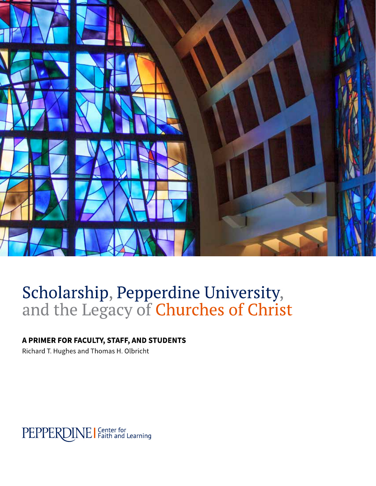

# Scholarship, Pepperdine University,<br>and the Legacy of Churches of Christ

### A PRIMER FOR FACULTY, STAFF, AND STUDENTS

Richard T. Hughes and Thomas H. Olbricht

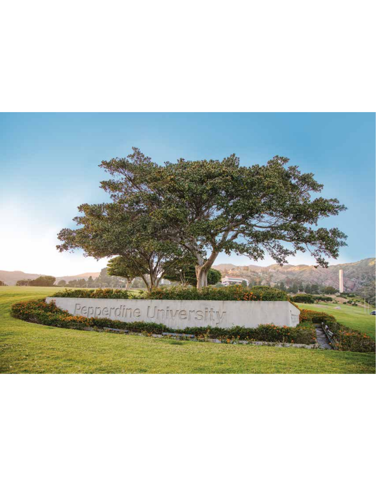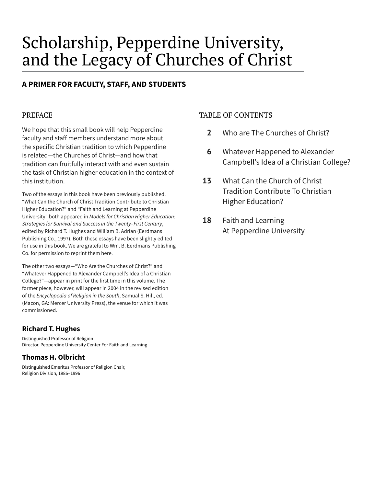# Scholarship, Pepperdine University, and the Legacy of Churches of Christ

### **A PRIMER FOR FACULTY, STAFF, AND STUDENTS**

### PREFACE

We hope that this small book will help Pepperdine faculty and staff members understand more about the specific Christian tradition to which Pepperdine is related—the Churches of Christ—and how that tradition can fruitfully interact with and even sustain the task of Christian higher education in the context of this institution.

Two of the essays in this book have been previously published. "What Can the Church of Christ Tradition Contribute to Christian Higher Education?" and "Faith and Learning at Pepperdine University" both appeared in *Models for Christian Higher Education: Strategies for Survival and Success in the Twenty–First Century*, edited by Richard T. Hughes and William B. Adrian (Eerdmans Publishing Co., 1997). Both these essays have been slightly edited for use in this book. We are grateful to Wm. B. Eerdmans Publishing Co. for permission to reprint them here.

The other two essays—"Who Are the Churches of Christ?" and "Whatever Happened to Alexander Campbell's Idea of a Christian College?"—appear in print for the first time in this volume. The former piece, however, will appear in 2004 in the revised edition of the *Encyclopedia of Religion in the South*, Samual S. Hill, ed. (Macon, GA: Mercer University Press), the venue for which it was commissioned.

### **Richard T. Hughes**

Distinguished Professor of Religion Director, Pepperdine University Center For Faith and Learning

### **Thomas H. Olbricht**

Distinguished Emeritus Professor of Religion Chair, Religion Division, 1986–1996

### TABLE OF CONTENTS

- **2** Who are The Churches of Christ?
- **6** Whatever Happened to Alexander Campbell's Idea of a Christian College?
- **13** What Can the Church of Christ Tradition Contribute To Christian Higher Education?
- **18** Faith and Learning At Pepperdine University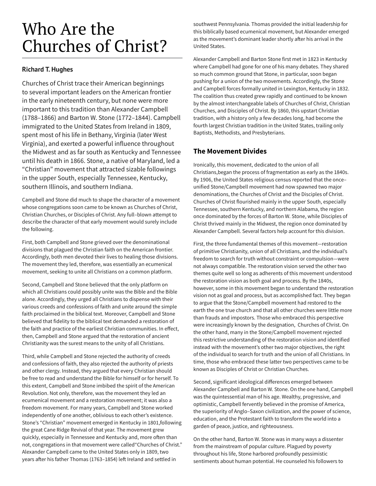# Who Are the Churches of Christ?

### **Richard T. Hughes**

Churches of Christ trace their American beginnings to several important leaders on the American frontier in the early nineteenth century, but none were more important to this tradition than Alexander Campbell (1788–1866) and Barton W. Stone (1772–1844). Campbell immigrated to the United States from Ireland in 1809, spent most of his life in Bethany, Virginia (later West Virginia), and exerted a powerful influence throughout the Midwest and as far south as Kentucky and Tennessee until his death in 1866. Stone, a native of Maryland, led a "Christian" movement that attracted sizable followings in the upper South, especially Tennessee, Kentucky, southern Illinois, and southern Indiana.

Campbell and Stone did much to shape the character of a movement whose congregations soon came to be known as Churches of Christ, Christian Churches, or Disciples of Christ. Any full–blown attempt to describe the character of that early movement would surely include the following.

First, both Campbell and Stone grieved over the denominational divisions that plagued the Christian faith on the American frontier. Accordingly, both men devoted their lives to healing those divisions. The movement they led, therefore, was essentially an ecumenical movement, seeking to unite all Christians on a common platform.

Second, Campbell and Stone believed that the only platform on which all Christians could possibly unite was the Bible and the Bible alone. Accordingly, they urged all Christians to dispense with their various creeds and confessions of faith and unite around the simple faith proclaimed in the biblical text. Moreover, Campbell and Stone believed that fidelity to the biblical text demanded a restoration of the faith and practice of the earliest Christian communities. In effect, then, Campbell and Stone argued that the restoration of ancient Christianity was the surest means to the unity of all Christians.

Third, while Campbell and Stone rejected the authority of creeds and confessions of faith, they also rejected the authority of priests and other clergy. Instead, they argued that every Christian should be free to read and understand the Bible for himself or for herself. To this extent, Campbell and Stone imbibed the spirit of the American Revolution. Not only, therefore, was the movement they led an ecumenical movement and a restoration movement; it was also a freedom movement. For many years, Campbell and Stone worked independently of one another, oblivious to each other's existence. Stone's "Christian" movement emerged in Kentucky in 1801,following the great Cane Ridge Revival of that year. The movement grew quickly, especially in Tennessee and Kentucky and, more often than not, congregations in that movement were called"Churches of Christ." Alexander Campbell came to the United States only in 1809, two years after his father Thomas (1763–1854) left Ireland and settled in

southwest Pennsylvania. Thomas provided the initial leadership for this biblically based ecumenical movement, but Alexander emerged as the movement's dominant leader shortly after his arrival in the United States.

Alexander Campbell and Barton Stone first met in 1823 in Kentucky where Campbell had gone for one of his many debates. They shared so much common ground that Stone, in particular, soon began pushing for a union of the two movements. Accordingly, the Stone and Campbell forces formally united in Lexington, Kentucky in 1832. The coalition thus created grew rapidly and continued to be known by the almost interchangeable labels of Churches of Christ, Christian Churches, and Disciples of Christ. By 1860, this upstart Christian tradition, with a history only a few decades long, had become the fourth largest Christian tradition in the United States, trailing only Baptists, Methodists, and Presbyterians.

### **The Movement Divides**

Ironically, this movement, dedicated to the union of all Christians,began the process of fragmentation as early as the 1840s. By 1906, the United States religious census reported that the once– unified Stone/Campbell movement had now spawned two major denominations, the Churches of Christ and the Disciples of Christ. Churches of Christ flourished mainly in the upper South, especially Tennessee, southern Kentucky, and northern Alabama, the region once dominated by the forces of Barton W. Stone, while Disciples of Christ thrived mainly in the Midwest, the region once dominated by Alexander Campbell. Several factors help account for this division.

First, the three fundamental themes of this movement—restoration of primitive Christianity, union of all Christians, and the individual's freedom to search for truth without constraint or compulsion—were not always compatible. The restoration vision served the other two themes quite well so long as adherents of this movement understood the restoration vision as both goal and process. By the 1840s, however, some in this movement began to understand the restoration vision not as goal and process, but as accomplished fact. They began to argue that the Stone/Campbell movement had restored to the earth the one true church and that all other churches were little more than frauds and impostors. Those who embraced this perspective were increasingly known by the designation, Churches of Christ. On the other hand, many in the Stone/Campbell movement rejected this restrictive understanding of the restoration vision and identified instead with the movement's other two major objectives, the right of the individual to search for truth and the union of all Christians. In time, those who embraced these latter two perspectives came to be known as Disciples of Christ or Christian Churches.

Second, significant ideological differences emerged between Alexander Campbell and Barton W. Stone. On the one hand, Campbell was the quintessential man of his age. Wealthy, progressive, and optimistic, Campbell fervently believed in the promise of America, the superiority of Anglo–Saxon civilization, and the power of science, education, and the Protestant faith to transform the world into a garden of peace, justice, and righteousness.

On the other hand, Barton W. Stone was in many ways a dissenter from the mainstream of popular culture. Plagued by poverty throughout his life, Stone harbored profoundly pessimistic sentiments about human potential. He counseled his followers to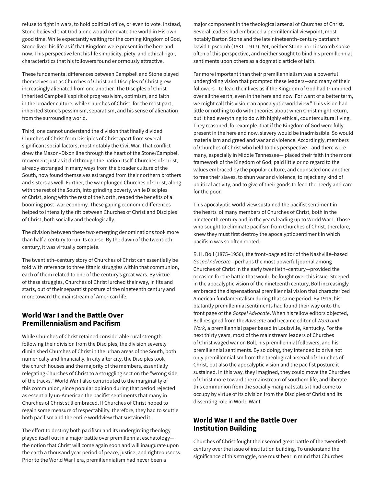refuse to fight in wars, to hold political office, or even to vote. Instead, Stone believed that God alone would renovate the world in His own good time. While expectantly waiting for the coming Kingdom of God, Stone lived his life as if that Kingdom were present in the here and now. This perspective lent his life simplicity, piety, and ethical rigor, characteristics that his followers found enormously attractive.

These fundamental differences between Campbell and Stone played themselves out as Churches of Christ and Disciples of Christ grew increasingly alienated from one another. The Disciples of Christ inherited Campbell's spirit of progressivism, optimism, and faith in the broader culture, while Churches of Christ, for the most part, inherited Stone's pessimism, separatism, and his sense of alienation from the surrounding world.

Third, one cannot understand the division that finally divided Churches of Christ from Disciples of Christ apart from several significant social factors, most notably the Civil War. That conflict drew the Mason–Dixon line through the heart of the Stone/Campbell movement just as it did through the nation itself. Churches of Christ, already estranged in many ways from the broader culture of the South, now found themselves estranged from their northern brothers and sisters as well. Further, the war plunged Churches of Christ, along with the rest of the South, into grinding poverty, while Disciples of Christ, along with the rest of the North, reaped the benefits of a booming post–war economy. These gaping economic differences helped to intensify the rift between Churches of Christ and Disciples of Christ, both socially and theologically.

The division between these two emerging denominations took more than half a century to run its course. By the dawn of the twentieth century, it was virtually complete.

The twentieth–century story of Churches of Christ can essentially be told with reference to three titanic struggles within that communion, each of them related to one of the century's great wars. By virtue of these struggles, Churches of Christ lurched their way, in fits and starts, out of their separatist posture of the nineteenth century and more toward the mainstream of American life.

### **World War I and the Battle Over Premillennialism and Pacifism**

While Churches of Christ retained considerable rural strength following their division from the Disciples, the division severely diminished Churches of Christ in the urban areas of the South, both numerically and financially. In city after city, the Disciples took the church houses and the majority of the members, essentially relegating Churches of Christ to a struggling sect on the "wrong side of the tracks." World War I also contributed to the marginality of this communion, since popular opinion during that period rejected as essentially un-American the pacifist sentiments that many in Churches of Christ still embraced. If Churches of Christ hoped to regain some measure of respectability, therefore, they had to scuttle both pacifism and the entire worldview that sustained it.

The effort to destroy both pacifism and its undergirding theology played itself out in a major battle over premillennial eschatology the notion that Christ will come again soon and will inaugurate upon the earth a thousand year period of peace, justice, and righteousness. Prior to the World War I era, premillennialism had never been a

major component in the theological arsenal of Churches of Christ. Several leaders had embraced a premillennial viewpoint, most notably Barton Stone and the late nineteenth–century patriarch David Lipscomb (1831–1917). Yet, neither Stone nor Lipscomb spoke often of this perspective, and neither sought to bind his premillennial sentiments upon others as a dogmatic article of faith.

Far more important than their premillennialism was a powerful undergirding vision that prompted these leaders—and many of their followers—to lead their lives as if the Kingdom of God had triumphed over all the earth, even in the here and now. For want of a better term, we might call this vision"an apocalyptic worldview." This vision had little or nothing to do with theories about when Christ might return, but it had everything to do with highly ethical, countercultural living. They reasoned, for example, that if the Kingdom of God were fully present in the here and now, slavery would be inadmissible. So would materialism and greed and war and violence. Accordingly, members of Churches of Christ who held to this perspective—and there were many, especially in Middle Tennessee— placed their faith in the moral framework of the Kingdom of God, paid little or no regard to the values embraced by the popular culture, and counseled one another to free their slaves, to shun war and violence, to reject any kind of political activity, and to give of their goods to feed the needy and care for the poor.

This apocalyptic world view sustained the pacifist sentiment in the hearts of many members of Churches of Christ, both in the nineteenth century and in the years leading up to World War I. Those who sought to eliminate pacifism from Churches of Christ, therefore, knew they must first destroy the apocalyptic sentiment in which pacifism was so often rooted.

R. H. Boll (1875–1956), the front–page editor of the Nashville–based *Gospel Advocate*—perhaps the most powerful journal among Churches of Christ in the early twentieth–century—provided the occasion for the battle that would be fought over this issue. Steeped in the apocalyptic vision of the nineteenth century, Boll increasingly embraced the dispensational premillennial vision that characterized American fundamentalism during that same period. By 1915, his blatantly premillennial sentiments had found their way onto the front page of the *Gospel Advocate*. When his fellow editors objected, Boll resigned from the *Advocate* and became editor of *Word and Work*, a premillennial paper based in Louisville, Kentucky. For the next thirty years, most of the mainstream leaders of Churches of Christ waged war on Boll, his premillennial followers, and his premillennial sentiments. By so doing, they intended to drive not only premillennialism from the theological arsenal of Churches of Christ, but also the apocalyptic vision and the pacifist posture it sustained. In this way, they imagined, they could move the Churches of Christ more toward the mainstream of southern life, and liberate this communion from the socially marginal status it had come to occupy by virtue of its division from the Disciples of Christ and its dissenting role in World War I.

### **World War II and the Battle Over Institution Building**

Churches of Christ fought their second great battle of the twentieth century over the issue of institution building. To understand the significance of this struggle, one must bear in mind that Churches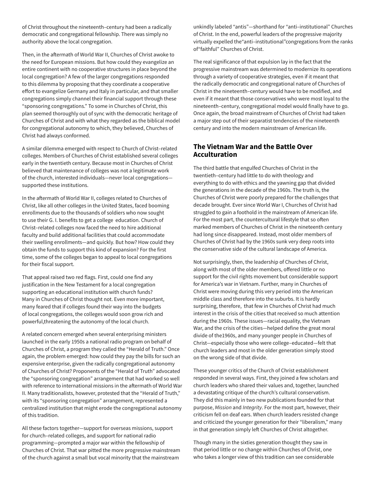of Christ throughout the nineteenth–century had been a radically democratic and congregational fellowship. There was simply no authority above the local congregation.

Then, in the aftermath of World War II, Churches of Christ awoke to the need for European missions. But how could they evangelize an entire continent with no cooperative structures in place beyond the local congregation? A few of the larger congregations responded to this dilemma by proposing that they coordinate a cooperative effort to evangelize Germany and Italy in particular, and that smaller congregations simply channel their financial support through these "sponsoring congregations." To some in Churches of Christ, this plan seemed thoroughly out of sync with the democratic heritage of Churches of Christ and with what they regarded as the biblical model for congregational autonomy to which, they believed, Churches of Christ had always conformed.

A similar dilemma emerged with respect to Church of Christ–related colleges. Members of Churches of Christ established several colleges early in the twentieth century. Because most in Churches of Christ believed that maintenance of colleges was not a legitimate work of the church, interested individuals—never local congregations supported these institutions.

In the aftermath of World War II, colleges related to Churches of Christ, like all other colleges in the United States, faced booming enrollments due to the thousands of soldiers who now sought to use their G. I. benefits to get a college education. Church of Christ–related colleges now faced the need to hire additional faculty and build additional facilities that could accommodate their swelling enrollments—and quickly. But how? How could they obtain the funds to support this kind of expansion? For the first time, some of the colleges began to appeal to local congregations for their fiscal support.

That appeal raised two red flags. First, could one find any justification in the New Testament for a local congregation supporting an educational institution with church funds? Many in Churches of Christ thought not. Even more important, many feared that if colleges found their way into the budgets of local congregations, the colleges would soon grow rich and powerful,threatening the autonomy of the local church.

A related concern emerged when several enterprising ministers launched in the early 1950s a national radio program on behalf of Churches of Christ, a program they called the "Herald of Truth." Once again, the problem emerged: how could they pay the bills for such an expensive enterprise, given the radically congregational autonomy of Churches of Christ? Proponents of the "Herald of Truth" advocated the "sponsoring congregation" arrangement that had worked so well with reference to international missions in the aftermath of World War II. Many traditionalists, however, protested that the "Herald of Truth," with its "sponsoring congregation" arrangement, represented a centralized institution that might erode the congregational autonomy of this tradition.

All these factors together—support for overseas missions, support for church–related colleges, and support for national radio programming—prompted a major war within the fellowship of Churches of Christ. That war pitted the more progressive mainstream of the church against a small but vocal minority that the mainstream

unkindly labeled "antis"—shorthand for "anti–institutional" Churches of Christ. In the end, powerful leaders of the progressive majority virtually expelled the"anti–institutional"congregations from the ranks of"faithful" Churches of Christ.

The real significance of that expulsion lay in the fact that the progressive mainstream was determined to modernize its operations through a variety of cooperative strategies, even if it meant that the radically democratic and congregational nature of Churches of Christ in the nineteenth–century would have to be modified, and even if it meant that those conservatives who were most loyal to the nineteenth–century, congregational model would finally have to go. Once again, the broad mainstream of Churches of Christ had taken a major step out of their separatist tendencies of the nineteenth century and into the modern mainstream of American life.

### **The Vietnam War and the Battle Over Acculturation**

The third battle that engulfed Churches of Christ in the twentieth–century had little to do with theology and everything to do with ethics and the yawning gap that divided the generations in the decade of the 1960s. The truth is, the Churches of Christ were poorly prepared for the challenges that decade brought. Ever since World War I, Churches of Christ had struggled to gain a foothold in the mainstream of American life. For the most part, the countercultural lifestyle that so often marked members of Churches of Christ in the nineteenth century had long since disappeared. Instead, most older members of Churches of Christ had by the 1960s sunk very deep roots into the conservative side of the cultural landscape of America.

Not surprisingly, then, the leadership of Churches of Christ, along with most of the older members, offered little or no support for the civil rights movement but considerable support for America's war in Vietnam. Further, many in Churches of Christ were moving during this very period into the American middle class and therefore into the suburbs. It is hardly surprising, therefore, that few in Churches of Christ had much interest in the crisis of the cities that received so much attention during the 1960s. These issues—racial equality, the Vietnam War, and the crisis of the cities—helped define the great moral divide of the1960s, and many younger people in Churches of Christ—especially those who were college–educated—felt that church leaders and most in the older generation simply stood on the wrong side of that divide.

These younger critics of the Church of Christ establishment responded in several ways. First, they joined a few scholars and church leaders who shared their values and, together, launched a devastating critique of the church's cultural conservatism. They did this mainly in two new publications founded for that purpose, *Mission* and *Integrity*. For the most part, however, their criticism fell on deaf ears. When church leaders resisted change and criticized the younger generation for their "liberalism," many in that generation simply left Churches of Christ altogether.

Though many in the sixties generation thought they saw in that period little or no change within Churches of Christ, one who takes a longer view of this tradition can see considerable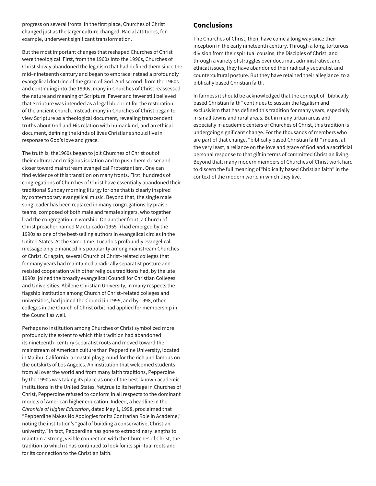progress on several fronts. In the first place, Churches of Christ changed just as the larger culture changed. Racial attitudes, for example, underwent significant transformation.

But the most important changes that reshaped Churches of Christ were theological. First, from the 1960s into the 1990s, Churches of Christ slowly abandoned the legalism that had defined them since the mid–nineteenth century and began to embrace instead a profoundly evangelical doctrine of the grace of God. And second, from the 1960s and continuing into the 1990s, many in Churches of Christ reassessed the nature and meaning of Scripture. Fewer and fewer still believed that Scripture was intended as a legal blueprint for the restoration of the ancient church. Instead, many in Churches of Christ began to view Scripture as a theological document, revealing transcendent truths about God and His relation with humankind, and an ethical document, defining the kinds of lives Christians should live in response to God's love and grace.

The truth is, the1960s began to jolt Churches of Christ out of their cultural and religious isolation and to push them closer and closer toward mainstream evangelical Protestantism. One can find evidence of this transition on many fronts. First, hundreds of congregations of Churches of Christ have essentially abandoned their traditional Sunday morning liturgy for one that is clearly inspired by contemporary evangelical music. Beyond that, the single male song leader has been replaced in many congregations by praise teams, composed of both male and female singers, who together lead the congregation in worship. On another front, a Church of Christ preacher named Max Lucado (1955–) had emerged by the 1990s as one of the best-selling authors in evangelical circles in the United States. At the same time, Lucado's profoundly evangelical message only enhanced his popularity among mainstream Churches of Christ. Or again, several Church of Christ–related colleges that for many years had maintained a radically separatist posture and resisted cooperation with other religious traditions had, by the late 1990s, joined the broadly evangelical Council for Christian Colleges and Universities. Abilene Christian University, in many respects the flagship institution among Church of Christ–related colleges and universities, had joined the Council in 1995, and by 1998, other colleges in the Church of Christ orbit had applied for membership in the Council as well.

Perhaps no institution among Churches of Christ symbolized more profoundly the extent to which this tradition had abandoned its nineteenth–century separatist roots and moved toward the mainstream of American culture than Pepperdine University, located in Malibu, California, a coastal playground for the rich and famous on the outskirts of Los Angeles. An institution that welcomed students from all over the world and from many faith traditions, Pepperdine by the 1990s was taking its place as one of the best–known academic institutions in the United States. Yet,true to its heritage in Churches of Christ, Pepperdine refused to conform in all respects to the dominant models of American higher education. Indeed, a headline in the *Chronicle of Higher Education*, dated May 1, 1998, proclaimed that "Pepperdine Makes No Apologies for Its Contrarian Role in Academe," noting the institution's "goal of building a conservative, Christian university." In fact, Pepperdine has gone to extraordinary lengths to maintain a strong, visible connection with the Churches of Christ, the tradition to which it has continued to look for its spiritual roots and for its connection to the Christian faith.

### **Conclusions**

The Churches of Christ, then, have come a long way since their inception in the early nineteenth century. Through a long, torturous division from their spiritual cousins, the Disciples of Christ, and through a variety of struggles over doctrinal, administrative, and ethical issues, they have abandoned their radically separatist and countercultural posture. But they have retained their allegiance to a biblically based Christian faith.

In fairness it should be acknowledged that the concept of "biblically based Christian faith" continues to sustain the legalism and exclusivism that has defined this tradition for many years, especially in small towns and rural areas. But in many urban areas and especially in academic centers of Churches of Christ, this tradition is undergoing significant change. For the thousands of members who are part of that change, "biblically based Christian faith" means, at the very least, a reliance on the love and grace of God and a sacrificial personal response to that gift in terms of committed Christian living. Beyond that, many modern members of Churches of Christ work hard to discern the full meaning of"biblically based Christian faith" in the context of the modern world in which they live.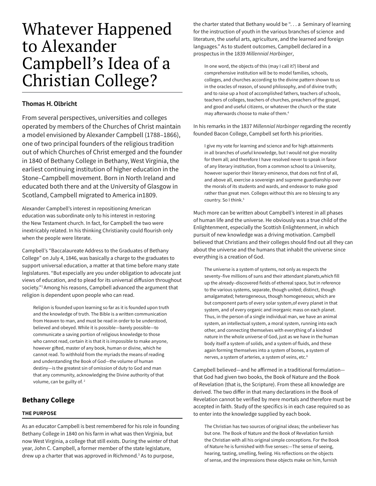# Whatever Happened to Alexander Campbell's Idea of a Christian College?

### **Thomas H. Olbricht**

From several perspectives, universities and colleges operated by members of the Churches of Christ maintain a model envisioned by Alexander Campbell (1788–1866), one of two principal founders of the religious tradition out of which Churches of Christ emerged and the founder in 1840 of Bethany College in Bethany, West Virginia, the earliest continuing institution of higher education in the Stone–Campbell movement. Born in North Ireland and educated both there and at the University of Glasgow in Scotland, Campbell migrated to America in1809.

Alexander Campbell's interest in repositioning American education was subordinate only to his interest in restoring the New Testament church. In fact, for Campbell the two were inextricably related. In his thinking Christianity could flourish only when the people were literate.

Campbell's "Baccalaureate Address to the Graduates of Bethany College" on July 4, 1846, was basically a charge to the graduates to support universal education, a matter at that time before many state legislatures. "But especially are you under obligation to advocate just views of education, and to plead for its universal diffusion throughout society."1 Among his reasons, Campbell advanced the argument that religion is dependent upon people who can read.

Religion is founded upon learning so far as it is founded upon truth and the knowledge of truth. The Bible is a written communication from Heaven to man, and must be read in order to be understood, believed and obeyed. While it is possible—barely possible—to communicate a saving portion of religious knowledge to those who cannot read, certain it is that it is impossible to make anyone, however gifted, master of any book, human or divine, which he cannot read. To withhold from the myriads the means of reading and understanding the Book of God—the volume of human destiny—is the greatest sin of omission of duty to God and man that any community, acknowledging the Divine authority of that volume, can be guilty of.<sup>2</sup>

### **Bethany College**

### **THE PURPOSE**

As an educator Campbell is best remembered for his role in founding Bethany College in 1840 on his farm in what was then Virginia, but now West Virginia, a college that still exists. During the winter of that year, John C. Campbell, a former member of the state legislature, drew up a charter that was approved in Richmond.<sup>3</sup> As to purpose,

the charter stated that Bethany would be ". . . a Seminary of learning for the instruction of youth in the various branches of science and literature, the useful arts, agriculture, and the learned and foreign languages." As to student outcomes, Campbell declared in a prospectus in the 1839 *Millennial Harbinger*,

In one word, the objects of this (may I call it?) liberal and comprehensive institution will be to model families, schools, colleges, and churches according to the divine pattern shown to us in the oracles of reason, of sound philosophy, and of divine truth; and to raise up a host of accomplished fathers, teachers of schools, teachers of colleges, teachers of churches, preachers of the gospel, and good and useful citizens, or whatever the church or the state may afterwards choose to make of them.4

### In his remarks in the 1837 *Millennial Harbinger* regarding the recently founded Bacon College, Campbell set forth his priorities.

I give my vote for learning and science and for high attainments in all branches of useful knowledge, but I would not give morality for them all; and therefore I have resolved never to speak in favor of any literary institution, from a common school to a University, however superior their literary eminence, that does not first of all, and above all, exercise a sovereign and supreme guardianship over the morals of its students and wards, and endeavor to make good rather than great men. Colleges without this are no blessing to any country. So I think.<sup>5</sup>

Much more can be written about Campbell's interest in all phases of human life and the universe. He obviously was a true child of the Enlightenment, especially the Scottish Enlightenment, in which pursuit of new knowledge was a driving motivation. Campbell believed that Christians and their colleges should find out all they can about the universe and the humans that inhabit the universe since everything is a creation of God.

The universe is a system of systems, not only as respects the seventy–five millions of suns and their attendant planets,which fill up the already–discovered fields of ethereal space, but in reference to the various systems, separate, though united; distinct, though amalgamated; heterogeneous, though homogeneous; which are but component parts of every solar system,of every planet in that system, and of every organic and inorganic mass on each planet. Thus, in the person of a single individual man, we have an animal system, an intellectual system, a moral system, running into each other, and connecting themselves with everything of a kindred nature in the whole universe of God, just as we have in the human body itself a system of solids, and a system of fluids, and these again forming themselves into a system of bones, a system of nerves, a system of arteries, a system of veins, etc.6

Campbell believed—and he affirmed in a traditional formulation that God had given two books, the Book of Nature and the Book of Revelation (that is, the Scripture). From these all knowledge are derived. The two differ in that many declarations in the Book of Revelation cannot be verified by mere mortals and therefore must be accepted in faith. Study of the specifics is in each case required so as to enter into the knowledge supplied by each book.

The Christian has two sources of original ideas; the unbeliever has but one. The Book of Nature and the Book of Revelation furnish the Christian with all his original simple conceptions. For the Book of Nature he is furnished with five senses:—The sense of seeing, hearing, tasting, smelling, feeling. His reflections on the objects of sense, and the impressions these objects make on him, furnish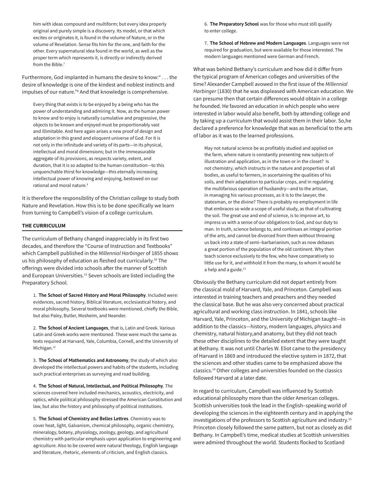him with ideas compound and multiform; but every idea properly original and purely simple is a discovery. Its model, or that which excites or originates it, is found in the volume of Nature, or in the volume of Revelation. Sense fits him for the one, and faith for the other. Every supernatural idea found in the world, as well as the proper term which represents it, is directly or indirectly derived from the Bible.7

Furthermore, God implanted in humans the desire to know:" . . . the desire of knowledge is one of the kindest and noblest instincts and impulses of our nature."8 And that knowledge is comprehensive.

Every thing that exists is to be enjoyed by a being who has the power of understanding and admiring it. Now, as the human power to know and to enjoy is naturally cumulative and progressive, the objects to be known and enjoyed must be proportionably vast and illimitable. And here again arises a new proof of design and adaptation in this grand and eloquent universe of God. For it is not only in the infinitude and variety of its parts—in its physical, intellectual and moral dimensions; but in the immeasurable aggregate of its provisions, as respects variety, extent, and duration, that it is so adapted to the human constitution—to this unquenchable thirst for knowledge—this eternally increasing intellectual power of knowing and enjoying, bestowed on our rational and moral nature.<sup>9</sup>

It is therefore the responsibility of the Christian college to study both Nature and Revelation. How this is to be done specifically we learn from turning to Campbell's vision of a college curriculum.

### **THE CURRICULUM**

The curriculum of Bethany changed inappreciably in its first two decades, and therefore the "Course of Instruction and Textbooks" which Campbell published in the *Millennial Harbinger* of 1855 shows us his philosophy of education as fleshed out curricularly.<sup>10</sup> The offerings were divided into schools after the manner of Scottish and European Universities.<sup>11</sup> Seven schools are listed including the Preparatory School.

1. **The School of Sacred History and Moral Philosophy**. Included were: evidences, sacred history, Biblical literature, ecclesiastical history, and moral philosophy. Several textbooks were mentioned, chiefly the Bible, but also Paley, Butler, Mosheim, and Neander.

2. **The School of Ancient Languages**, that is, Latin and Greek. Various Latin and Greek works were mentioned. These were much the same as texts required at Harvard, Yale, Columbia, Cornell, and the University of Michigan.<sup>12</sup>

3. **The School of Mathematics and Astronomy**, the study of which also developed the intellectual powers and habits of the students, including such practical enterprises as surveying and road building.

4. **The School of Natural, Intellectual, and Political Philosophy**. The sciences covered here included mechanics, acoustics, electricity, and optics, while political philosophy stressed the American Constitution and law, but also the history and philosophy of political institutions.

5. **The School of Chemistry and Belles Lettres**. Chemistry was to cover heat, light, Galvanism, chemical philosophy, organic chemistry, mineralogy, botany, physiology, zoology, geology, and agricultural chemistry with particular emphasis upon application to engineering and agriculture. Also to be covered were natural theology, English language and literature, rhetoric, elements of criticism, and English classics.

6. **The Preparatory School** was for those who must still qualify to enter college.

7. **The School of Hebrew and Modern Languages**. Languages were not required for graduation, but were available for those interested. The modern languages mentioned were German and French.

What was behind Bethany's curriculum and how did it differ from the typical program of American colleges and universities of the time? Alexander Campbell avowed in the first issue of the *Millennial Harbinger* (1830) that he was displeased with American education. We can presume then that certain differences would obtain in a college he founded. He favored an education in which people who were interested in labor would also benefit, both by attending college and by taking up a curriculum that would assist them in their labor. So,he declared a preference for knowledge that was as beneficial to the arts of labor as it was to the learned professions.

May not natural science be as profitably studied and applied on the farm, where nature is constantly presenting new subjects of illustration and application, as in the town or in the closet? Is not chemistry, which instructs in the nature and properties of all bodies, as useful to farmers, in ascertaining the qualities of his soils, and their adaptation to particular crops, and in regulating the multifarious operation of husbandry—and to the artisan, in managing his various processes, as it is to the lawyer, the statesman, or the divine? There is probably no employment in life that embraces so wide a scope of useful study, as that of cultivating the soil. The great use and end of science, is to improve art, to impress us with a sense of our obligations to God, and our duty to man. In truth, science belongs to, and continues an integral portion of the arts, and cannot be divorced from them without throwing us back into a state of semi–barbarianism, such as now debases a great portion of the population of the old continent. Why then teach science exclusively to the few, who have comparatively so little use for it, and withhold it from the many, to whom it would be a help and a guide.<sup>13</sup>

Obviously the Bethany curriculum did not depart entirely from the classical mold of Harvard, Yale, and Princeton. Campbell was interested in training teachers and preachers and they needed the classical base. But he was also very concerned about practical agricultural and working class instruction. In 1841, schools like Harvard, Yale, Princeton, and the University of Michigan taught—in addition to the classics—history, modern languages, physics and chemistry, natural history,and anatomy, but they did not teach these other disciplines to the detailed extent that they were taught at Bethany. It was not until Charles W. Eliot came to the presidency of Harvard in 1869 and introduced the elective system in 1872, that the sciences and other studies came to be emphasized above the classics.14 Other colleges and universities founded on the classics followed Harvard at a later date.

In regard to curriculum, Campbell was influenced by Scottish educational philosophy more than the older American colleges. Scottish universities took the lead in the English–speaking world of developing the sciences in the eighteenth century and in applying the investigations of the professors to Scottish agriculture and industry.15 Princeton closely followed the same pattern, but not as closely as did Bethany. In Campbell's time, medical studies at Scottish universities were admired throughout the world. Students flocked to Scotland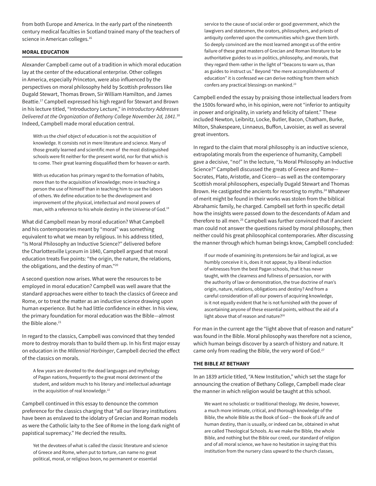from both Europe and America. In the early part of the nineteenth century medical faculties in Scotland trained many of the teachers of science in American colleges.<sup>16</sup>

### **MORAL EDUCATION**

Alexander Campbell came out of a tradition in which moral education lay at the center of the educational enterprise. Other colleges in America, especially Princeton, were also influenced by the perspectives on moral philosophy held by Scottish professors like Dugald Stewart, Thomas Brown, Sir William Hamilton, and James Beattie.17 Campbell expressed his high regard for Stewart and Brown in his lecture titled, "Introductory Lecture," in *Introductory Addresses Delivered at the Organization of Bethany College November 2d, 1841*. 18 Indeed, Campbell made moral education central.

With us the chief object of education is not the acquisition of knowledge. It consists not in mere literature and science. Many of those greatly learned and scientific men of the most distinguished schools were fit neither for the present world, nor for that which is to come. Their great learning disqualified them for heaven or earth.

With us education has primary regard to the formation of habits, more than to the acquisition of knowledge; more in teaching a person the use of himself than in teaching him to use the labors of others. We define education to be the development and improvement of the physical, intellectual and moral powers of man, with a reference to his whole destiny in the Universe of God.19

What did Campbell mean by moral education? What Campbell and his contemporaries meant by "moral" was something equivalent to what we mean by religious. In his address titled, "Is Moral Philosophy an Inductive Science?" delivered before the Charlottesville Lyceum in 1840, Campbell argued that moral education treats five points: "the origin, the nature, the relations, the obligations, and the destiny of man."20

A second question now arises. What were the resources to be employed in moral education? Campbell was well aware that the standard approaches were either to teach the classics of Greece and Rome, or to treat the matter as an inductive science drawing upon human experience. But he had little confidence in either. In his view, the primary foundation for moral education was the Bible—almost the Bible alone.<sup>21</sup>

In regard to the classics, Campbell was convinced that they tended more to destroy morals than to build them up. In his first major essay on education in the *Millennial Harbinger*, Campbell decried the effect of the classics on morals.

A few years are devoted to the dead languages and mythology of Pagan nations, frequently to the great moral detriment of the student, and seldom much to his literary and intellectual advantage in the acquisition of real knowledge.<sup>22</sup>

Campbell continued in this essay to denounce the common preference for the classics charging that "all our literary institutions have been as enslaved to the idolatry of Grecian and Roman models as were the Catholic laity to the See of Rome in the long dark night of papistical supremacy." He decried the results.

Yet the devotees of what is called the classic literature and science of Greece and Rome, when put to torture, can name no great political, moral, or religious boon, no permanent or essential

service to the cause of social order or good government, which the lawgivers and statesmen, the orators, philosophers, and priests of antiquity conferred upon the communities which gave them birth. So deeply convinced are the most learned amongst us of the entire failure of these great masters of Grecian and Roman literature to be authoritative guides to us in politics, philosophy, and morals, that they regard them rather in the light of "beacons to warn us, than as guides to instruct us." Beyond "the mere accomplishments of education" it is confessed we can derive nothing from them which confers any practical blessings on mankind.23

Campbell ended the essay by praising those intellectual leaders from the 1500s forward who, in his opinion, were not "inferior to antiquity in power and originality, in variety and felicity of talent." These included Newton, Leibnitz, Locke, Butler, Bacon, Chatham, Burke, Milton, Shakespeare, Linnaeus, Buffon, Lavoisier, as well as several great inventors.

In regard to the claim that moral philosophy is an inductive science, extrapolating morals from the experience of humanity, Campbell gave a decisive, "no!" In the lecture, "Is Moral Philosophy an Inductive Science?" Campbell discussed the greats of Greece and Rome— Socrates, Plato, Aristotle, and Cicero—as well as the contemporary Scottish moral philosophers, especially Dugald Stewart and Thomas Brown. He castigated the ancients for resorting to myths.<sup>24</sup> Whatever of merit might be found in their works was stolen from the biblical Abrahamic family, he charged. Campbell set forth in specific detail how the insights were passed down to the descendants of Adam and therefore to all men.25 Campbell was further convinced that if ancient man could not answer the questions raised by moral philosophy, then neither could his great philosophical contemporaries. After discussing the manner through which human beings know, Campbell concluded:

If our mode of examining its pretensions be fair and logical, as we humbly conceive it is, does it not appear, by a liberal induction of witnesses from the best Pagan schools, that it has never taught, with the clearness and fullness of persuasion, nor with the authority of law or demonstration, the true doctrine of man's origin, nature, relations, obligations and destiny? And from a careful consideration of all our powers of acquiring knowledge, is it not equally evident that he is not furnished with the power of ascertaining anyone of these essential points, without the aid of a light above that of reason and nature?<sup>26</sup>

For man in the current age the "light above that of reason and nature" was found in the Bible. Moral philosophy was therefore not a science, which human beings discover by a search of history and nature. It came only from reading the Bible, the very word of God.27

#### **THE BIBLE AT BETHANY**

In an 1839 article titled, "A New Institution," which set the stage for announcing the creation of Bethany College, Campbell made clear the manner in which religion would be taught at this school.

We want no scholastic or traditional theology. We desire, however, a much more intimate, critical, and thorough knowledge of the Bible, the whole Bible as the Book of God— the Book of Life and of human destiny, than is usually, or indeed can be, obtained in what are called Theological Schools. As we make the Bible, the whole Bible, and nothing but the Bible our creed, our standard of religion and of all moral science, we have no hesitation in saying that this institution from the nursery class upward to the church classes,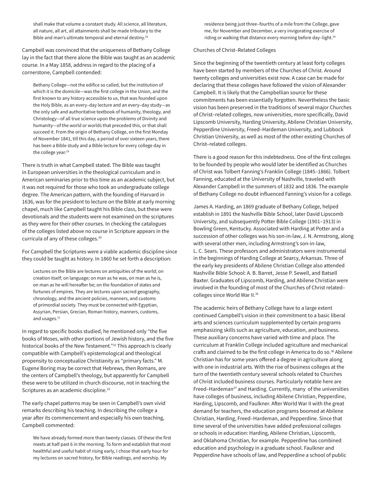shall make that volume a constant study. All science, all literature, all nature, all art, all attainments shall be made tributary to the Bible and man's ultimate temporal and eternal destiny.<sup>28</sup>

Campbell was convinced that the uniqueness of Bethany College lay in the fact that there alone the Bible was taught as an academic course. In a May 1858, address in regard to the placing of a cornerstone, Campbell contended:

Bethany College—not the edifice so called, but the institution of which it is the domicile—was the first college in the Union, and the first known to any history accessible to us, that was founded upon the Holy Bible, as an every–day lecture and an every–day study—as the only safe and authoritative textbook of humanity, theology, and Christology—of all true science upon the problems of Divinity and humanity—of the world or worlds that preceded this, or that shall succeed it. From the origin of Bethany College, on the first Monday of November 1841, till this day, a period of over sixteen years, there has been a Bible study and a Bible lecture for every college day in the college year.<sup>29</sup>

There is truth in what Campbell stated. The Bible was taught in European universities in the theological curriculum and in American seminaries prior to this time as an academic subject, but it was not required for those who took an undergraduate college degree. The American pattern, with the founding of Harvard in 1636, was for the president to lecture on the Bible at early morning chapel, much like Campbell taught his Bible class, but these were devotionals and the students were not examined on the scriptures as they were for their other courses. In checking the catalogues of the colleges listed above no course in Scripture appears in the curricula of any of these colleges.30

For Campbell the Scriptures were a viable academic discipline since they could be taught as history. In 1860 he set forth a description:

Lectures on the Bible are lectures on antiquities of the world; on creation itself; on language; on man as he was, on man as he is, on man as he will hereafter be; on the foundation of states and fortunes of empires. They are lectures upon sacred geography, chronology, and the ancient policies, manners, and customs of primordial society. They must be connected with Egyptian, Assyrian, Persian, Grecian, Roman history, manners, customs, and usages.<sup>31</sup>

In regard to specific books studied, he mentioned only "the five books of Moses, with other portions of Jewish history, and the five historical books of the New Testament."32 This approach is clearly compatible with Campbell's epistemological and theological propensity to conceptualize Christianity as "primary facts." M. Eugene Boring may be correct that Hebrews, then Romans, are the centers of Campbell's theology, but apparently for Campbell these were to be utilized in church discourse, not in teaching the Scriptures as an academic discipline.<sup>33</sup>

The early chapel patterns may be seen in Campbell's own vivid remarks describing his teaching. In describing the college a year after its commencement and especially his own teaching, Campbell commented:

We have already formed more than twenty classes. Of these the first meets at half past 6 in the morning. To form and establish that most healthful and useful habit of rising early, I chose that early hour for my lectures on sacred history, for Bible readings, and worship. My

residence being just three–fourths of a mile from the College, gave me, for November and December, a very invigorating exercise of riding or walking that distance every morning before day-light.<sup>34</sup>

#### Churches of Christ–Related Colleges

Since the beginning of the twentieth century at least forty colleges have been started by members of the Churches of Christ. Around twenty colleges and universities exist now. A case can be made for declaring that these colleges have followed the vision of Alexander Campbell. It is likely that the Campbellian source for these commitments has been essentially forgotten. Nevertheless the basic vision has been preserved in the traditions of several major Churches of Christ–related colleges, now universities, more specifically, David Lipscomb University, Harding University, Abilene Christian University, Pepperdine University, Freed–Hardeman University, and Lubbock Christian University, as well as most of the other existing Churches of Christ–related colleges.

There is a good reason for this indebtedness. One of the first colleges to be founded by people who would later be identified as Churches of Christ was Tolbert Fanning's Franklin College (1845–1866). Tolbert Fanning, educated at the University of Nashville, traveled with Alexander Campbell in the summers of 1832 and 1836. The example of Bethany College no doubt influenced Fanning's vision for a college.

James A. Harding, an 1869 graduate of Bethany College, helped establish in 1891 the Nashville Bible School, later David Lipscomb University, and subsequently Potter Bible College (1901–1913) in Bowling Green, Kentucky. Associated with Harding at Potter and a succession of other colleges was his son-in-law, J. N. Armstrong, along with several other men, including Armstrong's son-in-law, L. C. Sears. These professors and administrators were instrumental in the beginnings of Harding College at Searcy, Arkansas. Three of the early key presidents of Abilene Christian College also attended Nashville Bible School: A. B. Barret, Jesse P. Sewell, and Batsell Baxter. Graduates of Lipscomb, Harding, and Abilene Christian were involved in the founding of most of the Churches of Christ related– colleges since World War II.35

The academic heirs of Bethany College have to a large extent continued Campbell's vision in their commitment to a basic liberal arts and sciences curriculum supplemented by certain programs emphasizing skills such as agriculture, education, and business. These auxiliary concerns have varied with time and place. The curriculum at Franklin College included agriculture and mechanical crafts and claimed to be the first college in America to do so.<sup>36</sup> Abilene Christian has for some years offered a degree in agriculture along with one in industrial arts. With the rise of business colleges at the turn of the twentieth century several schools related to Churches of Christ included business courses. Particularly notable here are Freed–Hardeman<sup>37</sup> and Harding. Currently, many of the universities have colleges of business, including Abilene Christian, Pepperdine, Harding, Lipscomb, and Faulkner. After World War II with the great demand for teachers, the education programs boomed at Abilene Christian, Harding, Freed–Hardeman, and Pepperdine. Since that time several of the universities have added professional colleges or schools in education: Harding, Abilene Christian, Lipscomb, and Oklahoma Christian, for example. Pepperdine has combined education and psychology in a graduate school. Faulkner and Pepperdine have schools of law, and Pepperdine a school of public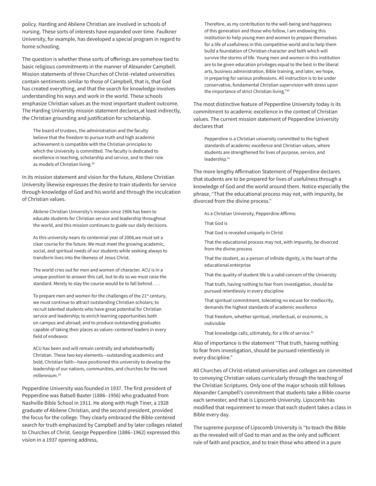policy. Harding and Abilene Christian are involved in schools of nursing. These sorts of interests have expanded over time. Faulkner University, for example, has developed a special program in regard to home schooling.

The question is whether these sorts of offerings are somehow tied to basic religious commitments in the manner of Alexander Campbell. Mission statements of three Churches of Christ–related universities contain sentiments similar to those of Campbell, that is, that God has created everything, and that the search for knowledge involves understanding his ways and work in the world. These schools emphasize Christian values as the most important student outcome. The Harding University mission statement declares,at least indirectly, the Christian grounding and justification for scholarship.

The board of trustees, the administration and the faculty believe that the freedom to pursue truth and high academic achievement is compatible with the Christian principles to which the University is committed. The faculty is dedicated to excellence in teaching, scholarship and service, and to their role as models of Christian living.<sup>38</sup>

In its mission statement and vision for the future, Abilene Christian University likewise expresses the desire to train students for service through knowledge of God and his world and through the inculcation of Christian values.

Abilene Christian University's mission since 1906 has been to educate students for Christian service and leadership throughout the world, and this mission continues to guide our daily decisions.

As this university nears its centennial year of 2006,we must set a clear course for the future. We must meet the growing academic, social, and spiritual needs of our students while seeking always to transform lives into the likeness of Jesus Christ.

The world cries out for men and women of character. ACU is in a unique position to answer this call, but to do so we must raise the standard. Merely to stay the course would be to fall behind. . . .

To prepare men and women for the challenges of the  $21<sup>st</sup>$  century, we must continue to attract outstanding Christian scholars; to recruit talented students who have great potential for Christian service and leadership; to enrich learning opportunities both on campus and abroad; and to produce outstanding graduates capable of taking their places as values–centered leaders in every field of endeavor.

ACU has been and will remain centrally and wholeheartedly Christian. These two key elements—outstanding academics and bold, Christian faith—have positioned this university to develop the leadership of our nations, communities, and churches for the next millennium.39

Pepperdine University was founded in 1937. The first president of Pepperdine was Batsell Baxter (1886–1956) who graduated from Nashville Bible School in 1911. He along with Hugh Tiner, a 1928 graduate of Abilene Christian, and the second president, provided the focus for the college. They clearly embraced the Bible-centered search for truth emphasized by Campbell and by later colleges related to Churches of Christ. George Pepperdine (1886–1962) expressed this vision in a 1937 opening address,

Therefore, as my contribution to the well-being and happiness of this generation and those who follow, I am endowing this institution to help young men and women to prepare themselves for a life of usefulness in this competitive world and to help them build a foundation of Christian character and faith which will survive the storms of life. Young men and women in this institution are to be given education privileges equal to the best in the liberal arts, business administration, Bible training, and later, we hope, in preparing for various professions. All instruction is to be under conservative, fundamental Christian supervision with stress upon the importance of strict Christian living."40

The most distinctive feature of Pepperdine University today is its commitment to academic excellence in the context of Christian values. The current mission statement of Pepperdine University declares that

Pepperdine is a Christian university committed to the highest standards of academic excellence and Christian values, where students are strengthened for lives of purpose, service, and leadership.<sup>41</sup>

The more lengthy Affirmation Statement of Pepperdine declares that students are to be prepared for lives of usefulness through a knowledge of God and the world around them. Notice especially the phrase, "That the educational process may not, with impunity, be divorced from the divine process."

As a Christian University, Pepperdine Affirms:

That God is

That God is revealed uniquely in Christ

That the educational process may not, with impunity, be divorced from the divine process

That the student, as a person of infinite dignity, is the heart of the educational enterprise

That the quality of student life is a valid concern of the University

That truth, having nothing to fear from investigation, should be pursued relentlessly in every discipline

That spiritual commitment, tolerating no excuse for mediocrity, demands the highest standards of academic excellence

That freedom, whether spiritual, intellectual, or economic, is indivisible

That knowledge calls, ultimately, for a life of service.<sup>42</sup>

Also of importance is the statement "That truth, having nothing to fear from investigation, should be pursued relentlessly in every discipline."

All Churches of Christ-related universities and colleges are committed to conveying Christian values curricularly through the teaching of the Christian Scriptures. Only one of the major schools still follows Alexander Campbell's commitment that students take a Bible course each semester, and that is Lipscomb University. Lipscomb has modified that requirement to mean that each student takes a class in Bible every day.

The supreme purpose of Lipscomb University is "to teach the Bible as the revealed will of God to man and as the only and sufficient rule of faith and practice, and to train those who attend in a pure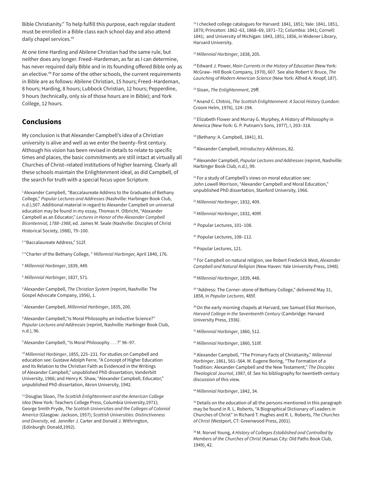Bible Christianity." To help fulfill this purpose, each regular student must be enrolled in a Bible class each school day and also attend daily chapel services.43

At one time Harding and Abilene Christian had the same rule, but neither does any longer. Freed–Hardeman, as far as I can determine, has never required daily Bible and in its founding offered Bible only as an elective.<sup>44</sup> For some of the other schools, the current requirements in Bible are as follows: Abilene Christian, 15 hours; Freed–Hardeman, 8 hours; Harding, 8 hours; Lubbock Christian, 12 hours; Pepperdine, 9 hours (technically, only six of those hours are in Bible); and York College, 12 hours.

### **Conclusions**

My conclusion is that Alexander Campbell's idea of a Christian university is alive and well as we enter the twenty–first century. Although his vision has been revised in details to relate to specific times and places, the basic commitments are still intact at virtually all Churches of Christ–related institutions of higher learning. Clearly all these schools maintain the Enlightenment ideal, as did Campbell, of the search for truth with a special focus upon Scripture.

<sup>1</sup> Alexander Campbell, "Baccalaureate Address to the Graduates of Bethany College," *Popular Lectures and Addresses* (Nashville: Harbinger Book Club, n.d.),507. Additional material in regard to Alexander Campbell on universal education may be found in my essay, Thomas H. Olbricht, "Alexander Campbell as an Educator," *Lectures in Honor of the Alexander Campbell Bicentennial, 1788–1988*, ed. James M. Seale (Nashville: Disciples of Christ Historical Society, 1988), 79–100.

2 "Baccalaureate Address," 512f.

3 "Charter of the Bethany College, " *Millennial Harbinger,* April 1840, 176.

<sup>4</sup>*Millennial Harbinger*, 1839, 449.

<sup>5</sup>*Millennial Harbinger*, 1837, 571.

6 Alexander Campbell, *The Christian System* (reprint, Nashville: The Gospel Advocate Company, 1956), 1.

7 Alexander Campbell, *Millennial Harbinger*, 1835, 200.

8 Alexander Campbell,"Is Moral Philosophy an Inductive Science?" *Popular Lectures and Addresses* (reprint, Nashville: Harbinger Book Club, n.d.), 96.

9 Alexander Campbell, "Is Moral Philosophy . . . ?" 96–97.

<sup>10</sup>*Millennial Harbinger*, 1855, 225–231. For studies on Campbell and education see: Gustave Adolph Ferre, "A Concept of Higher Education and Its Relation to the Christian Faith as Evidenced in the Writings of Alexander Campbell," unpublished PhD dissertation, Vanderbilt University, 1966; and Henry K. Shaw, "Alexander Campbell, Educator," unpublished PhD dissertation, Akron University, 1942.

11 Douglas Sloan, *The Scottish Enlightenment and the American College Idea* (New York: Teachers College Press, Columbia University,1971); George Smith Pryde, *The Scottish Universities and the Colleges of Colonial America* (Glasgow: Jackson, 1957); *Scottish Universities: Distinctiveness and Diversity*, ed. Jennifer J. Carter and Donald J. Withrington, (Edinburgh: Donald,1992).

<sup>12</sup> I checked college catalogues for Harvard: 1841, 1851; Yale: 1841, 1851, 1870; Princeton: 1862–63, 1868–69, 1871–72; Columbia: 1841; Cornell: 1841; and University of Michigan: 1843, 1851, 1856, in Widener Library, Harvard University.

<sup>13</sup>*Millennial Harbinger*, 1838, 205.

14 Edward J. Power, *Main Currents in the History of Education* (New York: McGraw– Hill Book Company, 1970), 607. See also Robert V. Bruce, *The Launching of Modern American Science* (New York: Alfred A. Knopf, 187).

15 Sloan, *The Enlightenment*, 29ff.

16 Anand C. Chitnis, *The Scottish Enlightenment: A Social History* (London: Croom Helm, 1976), 124–194.

<sup>17</sup> Elizabeth Flower and Murray G. Murphey, A History of Philosophy in America (New York: G. P. Putnam's Sons, 1977), I, 203–318.

18 (Bethany: A. Campbell, 1841), 81.

19 Alexander Campbell, *Introductory Addresses*, 82.

20 Alexander Campbell, *Popular Lectures and Addresses* (reprint, Nashville: Harbinger Book Club, n.d.), 99.

<sup>21</sup> For a study of Campbell's views on moral education see: John Lowell Morrison, "Alexander Campbell and Moral Education," unpublished PhD dissertation, Stanford University, 1966.

<sup>22</sup>*Millennial Harbinger*, 1832, 409.

<sup>23</sup>*Millennial Harbinger*, 1832, 409f.

24 Popular Lectures, 101–108.

25 Popular Lectures, 108–112.

26 Popular Lectures, 121.

27 For Campbell on natural religion, see Robert Frederick West, *Alexander Campbell and Natural Religion* (New Haven: Yale University Press, 1948).

<sup>28</sup>*Millennial Harbinger*, 1839, 448.

<sup>29</sup> "Address: The Corner-stone of Bethany College," delivered May 31, 1858, in *Popular Lectures*, 485f.

<sup>30</sup> On the early morning chapels at Harvard, see Samuel Eliot Morrison, *Harvard College in the Seventeenth Century* (Cambridge: Harvard University Press, 1936).

<sup>31</sup>*Millennial Harbinger*, 1860, 512.

<sup>32</sup>*Millennial Harbinger*, 1860, 510f.

33 Alexander Campbell, "The Primary Facts of Christianity," *Millennial Harbinger*, 1861, 561–564. M. Eugene Boring, "The Formation of a Tradition: Alexander Campbell and the New Testament," *The Disciples Theological Journal*, 1987, 6f. See his bibliography for twentieth-century discussion of this view.

<sup>34</sup>*Millennial Harbinger*, 1842, 34.

<sup>35</sup> Details on the education of all the persons mentioned in this paragraph may be found in R. L. Roberts, "A Biographical Dictionary of Leaders in Churches of Christ" in Richard T. Hughes and R. L. Roberts, *The Churches of Christ* (Westport, CT: Greenwood Press, 2001).

36 M. Norvel Young, *A History of Colleges Established and Controlled by Members of the Churches of Christ* (Kansas City: Old Paths Book Club, 1949), 42.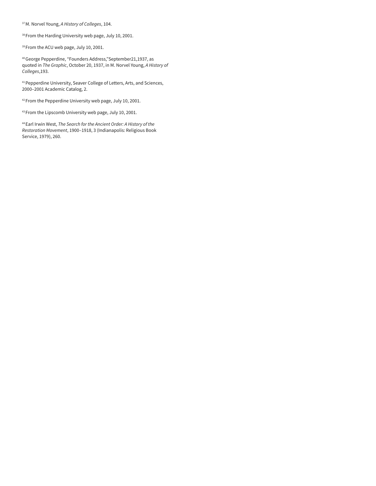37 M. Norvel Young, *A History of Colleges*, 104.

38 From the Harding University web page, July 10, 2001.

<sup>39</sup> From the ACU web page, July 10, 2001.

40 George Pepperdine, "Founders Address,"September21,1937, as quoted in *The Graphic*, October 20, 1937, in M. Norvel Young, *A History of Colleges*,193.

41 Pepperdine University, Seaver College of Letters, Arts, and Sciences, 2000–2001 Academic Catalog, 2.

42 From the Pepperdine University web page, July 10, 2001.

43 From the Lipscomb University web page, July 10, 2001.

44 Earl Irwin West, *The Search for the Ancient Order: A History of the Restoration Movement*, 1900–1918, 3 (Indianapolis: Religious Book Service, 1979), 260.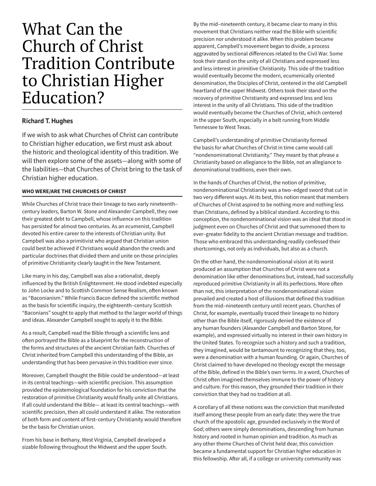# What Can the Church of Christ Tradition Contribute to Christian Higher Education?

### **Richard T. Hughes**

If we wish to ask what Churches of Christ can contribute to Christian higher education, we first must ask about the historic and theological identity of this tradition. We will then explore some of the assets—along with some of the liabilities—that Churches of Christ bring to the task of Christian higher education.

### **WHO WERE/ARE THE CHURCHES OF CHRIST**

While Churches of Christ trace their lineage to two early nineteenth– century leaders, Barton W. Stone and Alexander Campbell, they owe their greatest debt to Campbell, whose influence on this tradition has persisted for almost two centuries. As an ecumenist, Campbell devoted his entire career to the interests of Christian unity. But Campbell was also a primitivist who argued that Christian union could best be achieved if Christians would abandon the creeds and particular doctrines that divided them and unite on those principles of primitive Christianity clearly taught in the New Testament.

Like many in his day, Campbell was also a rationalist, deeply influenced by the British Enlightenment. He stood indebted especially to John Locke and to Scottish Common Sense Realism, often known as "Baconianism." While Francis Bacon defined the scientific method as the basis for scientific inquiry, the eighteenth–century Scottish "Baconians" sought to apply that method to the larger world of things and ideas. Alexander Campbell sought to apply it to the Bible.

As a result, Campbell read the Bible through a scientific lens and often portrayed the Bible as a blueprint for the reconstruction of the forms and structures of the ancient Christian faith. Churches of Christ inherited from Campbell this understanding of the Bible, an understanding that has been pervasive in this tradition ever since.

Moreover, Campbell thought the Bible could be understood—at least in its central teachings—with scientific precision. This assumption provided the epistemological foundation for his conviction that the restoration of primitive Christianity would finally unite all Christians. If all could understand the Bible— at least its central teachings—with scientific precision, then all could understand it alike. The restoration of both form and content of first–century Christianity would therefore be the basis for Christian union.

From his base in Bethany, West Virginia, Campbell developed a sizable following throughout the Midwest and the upper South. By the mid–nineteenth century, it became clear to many in this movement that Christians neither read the Bible with scientific precision nor understood it alike. When this problem became apparent, Campbell's movement began to divide, a process aggravated by sectional differences related to the Civil War. Some took their stand on the unity of all Christians and expressed less and less interest in primitive Christianity. This side of the tradition would eventually become the modern, ecumenically oriented denomination, the Disciples of Christ, centered in the old Campbell heartland of the upper Midwest. Others took their stand on the recovery of primitive Christianity and expressed less and less interest in the unity of all Christians. This side of the tradition would eventually become the Churches of Christ, which centered in the upper South, especially in a belt running from Middle Tennessee to West Texas.

Campbell's understanding of primitive Christianity formed the basis for what Churches of Christ in time came would call "nondenominational Christianity." They meant by that phrase a Christianity based on allegiance to the Bible, not an allegiance to denominational traditions, even their own.

In the hands of Churches of Christ, the notion of primitive, nondenominational Christianity was a two–edged sword that cut in two very different ways. At its best, this notion meant that members of Churches of Christ aspired to be nothing more and nothing less than Christians, defined by a biblical standard. According to this conception, the nondenominational vision was an ideal that stood in judgment even on Churches of Christ and that summoned them to ever–greater fidelity to the ancient Christian message and tradition. Those who embraced this understanding readily confessed their shortcomings, not only as individuals, but also as a church.

On the other hand, the nondenominational vision at its worst produced an assumption that Churches of Christ were not a denomination like other denominations but, instead, had successfully reproduced primitive Christianity in all its perfections. More often than not, this interpretation of the nondenominational vision prevailed and created a host of illusions that defined this tradition from the mid–nineteenth century until recent years. Churches of Christ, for example, eventually traced their lineage to no history other than the Bible itself, rigorously denied the existence of any human founders (Alexander Campbell and Barton Stone, for example), and expressed virtually no interest in their own history in the United States. To recognize such a history and such a tradition, they imagined, would be tantamount to recognizing that they, too, were a denomination with a human founding. Or again, Churches of Christ claimed to have developed no theology except the message of the Bible, defined in the Bible's own terms. In a word, Churches of Christ often imagined themselves immune to the power of history and culture. For this reason, they grounded their tradition in their conviction that they had no tradition at all.

A corollary of all these notions was the conviction that manifested itself among these people from an early date: they were the true church of the apostolic age, grounded exclusively in the Word of God; others were simply denominations, descending from human history and rooted in human opinion and tradition. As much as any other theme Churches of Christ held dear, this conviction became a fundamental support for Christian higher education in this fellowship. After all, if a college or university community was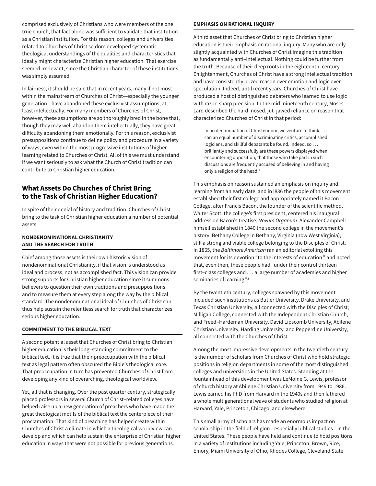comprised exclusively of Christians who were members of the one true church, that fact alone was sufficient to validate that institution as a Christian institution. For this reason, colleges and universities related to Churches of Christ seldom developed systematic theological understandings of the qualities and characteristics that ideally might characterize Christian higher education. That exercise seemed irrelevant, since the Christian character of these institutions was simply assumed.

In fairness, it should be said that in recent years, many if not most within the mainstream of Churches of Christ—especially the younger generation—have abandoned these exclusivist assumptions, at least intellectually. For many members of Churches of Christ, however, these assumptions are so thoroughly bred in the bone that, though they may well abandon them intellectually, they have great difficulty abandoning them emotionally. For this reason, exclusivist presuppositions continue to define policy and procedure in a variety of ways, even within the most progressive institutions of higher learning related to Churches of Christ. All of this we must understand if we want seriously to ask what the Church of Christ tradition can contribute to Christian higher education.

### **What Assets Do Churches of Christ Bring to the Task of Christian Higher Education?**

In spite of their denial of history and tradition, Churches of Christ bring to the task of Christian higher education a number of potential assets.

### **NONDENOMINATIONAL CHRISTIANITY AND THE SEARCH FOR TRUTH**

Chief among those assets is their own historic vision of nondenominational Christianity, if that vision is understood as ideal and process, not as accomplished fact. This vision can provide strong supports for Christian higher education since it summons believers to question their own traditions and presuppositions and to measure them at every step along the way by the biblical standard. The nondenominational ideal of Churches of Christ can thus help sustain the relentless search for truth that characterizes serious higher education.

### **COMMITMENT TO THE BIBLICAL TEXT**

A second potential asset that Churches of Christ bring to Christian higher education is their long–standing commitment to the biblical text. It is true that their preoccupation with the biblical text as legal pattern often obscured the Bible's theological core. That preoccupation in turn has prevented Churches of Christ from developing any kind of overarching, theological worldview.

Yet, all that is changing. Over the past quarter century, strategically placed professors in several Church of Christ–related colleges have helped raise up a new generation of preachers who have made the great theological motifs of the biblical text the centerpiece of their proclamation. That kind of preaching has helped create within Churches of Christ a climate in which a theological worldview can develop and which can help sustain the enterprise of Christian higher education in ways that were not possible for previous generations.

#### **EMPHASIS ON RATIONAL INQUIRY**

A third asset that Churches of Christ bring to Christian higher education is their emphasis on rational inquiry. Many who are only slightly acquainted with Churches of Christ imagine this tradition as fundamentally anti–intellectual. Nothing could be further from the truth. Because of their deep roots in the eighteenth–century Enlightenment, Churches of Christ have a strong intellectual tradition and have consistently prized reason over emotion and logic over speculation. Indeed, until recent years, Churches of Christ have produced a host of distinguished debaters who learned to use logic with razor–sharp precision. In the mid–nineteenth century, Moses Lard described the hard–nosed, jut–jawed reliance on reason that characterized Churches of Christ in that period:

In no denomination of Christendom, we venture to think, . . . can an equal number of discriminating critics, accomplished logicians, and skillful debatants be found. Indeed, so . . . brilliantly and successfully are these powers displayed when encountering opposition, that those who take part in such discussions are frequently accused of believing in and having only a religion of the head.<sup>1</sup>

This emphasis on reason sustained an emphasis on inquiry and learning from an early date, and in l836 the people of this movement established their first college and appropriately named it Bacon College, after Francis Bacon, the founder of the scientific method. Walter Scott, the college's first president, centered his inaugural address on Bacon's treatise, *Novum Organum*. Alexander Campbell himself established in 1840 the second college in the movement's history: Bethany College in Bethany, Virginia (now West Virginia), still a strong and viable college belonging to the Disciples of Christ. In 1865, the *Baltimore American* ran an editorial extolling this movement for its devotion "to the interests of education," and noted that, even then, these people had "under their control thirteen first–class colleges and . . . a large number of academies and higher seminaries of learning."2

By the twentieth century, colleges spawned by this movement included such institutions as Butler University, Drake University, and Texas Christian University, all connected with the Disciples of Christ; Milligan College, connected with the Independent Christian Church; and Freed–Hardeman University, David Lipscomb University, Abilene Christian University, Harding University, and Pepperdine University, all connected with the Churches of Christ.

Among the most impressive developments in the twentieth century is the number of scholars from Churches of Christ who hold strategic positions in religion departments in some of the most distinguished colleges and universities in the United States. Standing at the fountainhead of this development was LeMoine G. Lewis, professor of church history at Abilene Christian University from 1949 to 1986. Lewis earned his PhD from Harvard in the 1940s and then fathered a whole multigenerational wave of students who studied religion at Harvard, Yale, Princeton, Chicago, and elsewhere.

This small army of scholars has made an enormous impact on scholarship in the field of religion—especially biblical studies—in the United States. These people have held and continue to hold positions in a variety of institutions including Yale, Princeton, Brown, Rice, Emory, Miami University of Ohio, Rhodes College, Cleveland State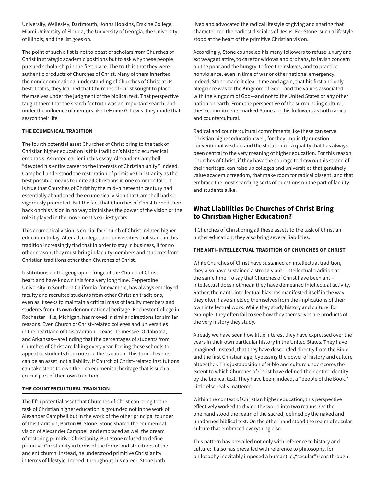University, Wellesley, Dartmouth, Johns Hopkins, Erskine College, Miami University of Florida, the University of Georgia, the University of Illinois, and the list goes on.

The point of such a list is not to boast of scholars from Churches of Christ in strategic academic positions but to ask why these people pursued scholarship in the first place. The truth is that they were authentic products of Churches of Christ. Many of them inherited the nondenominational understanding of Churches of Christ at its best; that is, they learned that Churches of Christ sought to place themselves under the judgment of the biblical text. That perspective taught them that the search for truth was an important search, and under the influence of mentors like LeMoine G. Lewis, they made that search their life.

### **THE ECUMENICAL TRADITION**

The fourth potential asset Churches of Christ bring to the task of Christian higher education is this tradition's historic ecumenical emphasis. As noted earlier in this essay, Alexander Campbell "devoted his entire career to the interests of Christian unity." Indeed, Campbell understood the restoration of primitive Christianity as the best possible means to unite all Christians in one common fold. It is true that Churches of Christ by the mid–nineteenth century had essentially abandoned the ecumenical vision that Campbell had so vigorously promoted. But the fact that Churches of Christ turned their back on this vision in no way diminishes the power of the vision or the role it played in the movement's earliest years.

This ecumenical vision is crucial for Church of Christ–related higher education today. After all, colleges and universities that stand in this tradition increasingly find that in order to stay in business, if for no other reason, they must bring in faculty members and students from Christian traditions other than Churches of Christ.

Institutions on the geographic fringe of the Church of Christ heartland have known this for a very long time. Pepperdine University in Southern California, for example, has always employed faculty and recruited students from other Christian traditions, even as it seeks to maintain a critical mass of faculty members and students from its own denominational heritage. Rochester College in Rochester Hills, Michigan, has moved in similar directions for similar reasons. Even Church of Christ–related colleges and universities in the heartland of this tradition—Texas, Tennessee, Oklahoma, and Arkansas—are finding that the percentages of students from Churches of Christ are falling every year, forcing these schools to appeal to students from outside the tradition. This turn of events can be an asset, not a liability, if Church of Christ–related institutions can take steps to own the rich ecumenical heritage that is such a crucial part of their own tradition.

### **THE COUNTERCULTURAL TRADITION**

The fifth potential asset that Churches of Christ can bring to the task of Christian higher education is grounded not in the work of Alexander Campbell but in the work of the other principal founder of this tradition, Barton W. Stone. Stone shared the ecumenical vision of Alexander Campbell and embraced as well the dream of restoring primitive Christianity. But Stone refused to define primitive Christianity in terms of the forms and structures of the ancient church. Instead, he understood primitive Christianity in terms of lifestyle. Indeed, throughout his career, Stone both

lived and advocated the radical lifestyle of giving and sharing that characterized the earliest disciples of Jesus. For Stone, such a lifestyle stood at the heart of the primitive Christian vision.

Accordingly, Stone counseled his many followers to refuse luxury and extravagant attire, to care for widows and orphans, to lavish concern on the poor and the hungry, to free their slaves, and to practice nonviolence, even in time of war or other national emergency. Indeed, Stone made it clear, time and again, that his first and only allegiance was to the Kingdom of God—and the values associated with the Kingdom of God—and not to the United States or any other nation on earth. From the perspective of the surrounding culture, these commitments marked Stone and his followers as both radical and countercultural.

Radical and countercultural commitments like these can serve Christian higher education well, for they implicitly question conventional wisdom and the status quo—a quality that has always been central to the very meaning of higher education. For this reason, Churches of Christ, if they have the courage to draw on this strand of their heritage, can raise up colleges and universities that genuinely value academic freedom, that make room for radical dissent, and that embrace the most searching sorts of questions on the part of faculty and students alike.

### **What Liabilities Do Churches of Christ Bring to Christian Higher Education?**

If Churches of Christ bring all these assets to the task of Christian higher education, they also bring several liabilities.

### **THE ANTI–INTELLECTUAL TRADITION OF CHURCHES OF CHRIST**

While Churches of Christ have sustained an intellectual tradition, they also have sustained a strongly anti–intellectual tradition at the same time. To say that Churches of Christ have been anti– intellectual does not mean they have demeaned intellectual activity. Rather, their anti–intellectual bias has manifested itself in the way they often have shielded themselves from the implications of their own intellectual work. While they study history and culture, for example, they often fail to see how they themselves are products of the very history they study.

Already we have seen how little interest they have expressed over the years in their own particular history in the United States. They have imagined, instead, that they have descended directly from the Bible and the first Christian age, bypassing the power of history and culture altogether. This juxtaposition of Bible and culture underscores the extent to which Churches of Christ have defined their entire identity by the biblical text. They have been, indeed, a "people of the Book." Little else really mattered.

Within the context of Christian higher education, this perspective effectively worked to divide the world into two realms. On the one hand stood the realm of the sacred, defined by the naked and unadorned biblical text. On the other hand stood the realm of secular culture that embraced everything else.

This pattern has prevailed not only with reference to history and culture; it also has prevailed with reference to philosophy, for philosophy inevitably imposed a human(i.e.,"secular") lens through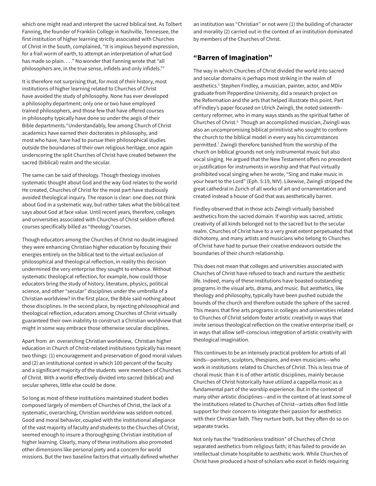which one might read and interpret the sacred biblical text. As Tolbert Fanning, the founder of Franklin College in Nashville, Tennessee, the first institution of higher learning strictly associated with Churches of Christ in the South, complained, "It is impious beyond expression, for a frail worm of earth, to attempt an interpretation of what God has made so plain. . . . " No wonder that Fanning wrote that "all philosophers are, in the true sense, infidels and only infidels."3

It is therefore not surprising that, for most of their history, most institutions of higher learning related to Churches of Christ have avoided the study of philosophy. None has ever developed a philosophy department; only one or two have employed trained philosophers, and those few that have offered courses in philosophy typically have done so under the aegis of their Bible departments.4 Understandably, few among Church of Christ academics have earned their doctorates in philosophy, and most who have, have had to pursue their philosophical studies outside the boundaries of their own religious heritage, once again underscoring the split Churches of Christ have created between the sacred (biblical) realm and the secular.

The same can be said of theology. Though theology involves systematic thought about God and the way God relates to the world He created, Churches of Christ for the most part have studiously avoided theological inquiry. The reason is clear: one does not think about God in a systematic way, but rather takes what the biblical text says about God at face value. Until recent years, therefore, colleges and universities associated with Churches of Christ seldom offered courses specifically billed as "theology"courses.

Though educators among the Churches of Christ no doubt imagined they were enhancing Christian higher education by focusing their energies entirely on the biblical text to the virtual exclusion of philosophical and theological reflection, in reality this decision undermined the very enterprise they sought to enhance. Without systematic theological reflection, for example, how could those educators bring the study of history, literature, physics, political science, and other "secular" disciplines under the umbrella of a Christian worldview? In the first place, the Bible said nothing about those disciplines. In the second place, by rejecting philosophical and theological reflection, educators among Churches of Christ virtually guaranteed their own inability to construct a Christian worldview that might in some way embrace those otherwise secular disciplines.

Apart from an overarching Christian worldview, Christian higher education in Church of Christ–related institutions typically has meant two things: (1) encouragement and preservation of good moral values and (2) an institutional context in which 100 percent of the faculty and a significant majority of the students were members of Churches of Christ. With a world effectively divided into sacred (biblical) and secular spheres, little else could be done.

So long as most of these institutions maintained student bodies composed largely of members of Churches of Christ, the lack of a systematic, overarching, Christian worldview was seldom noticed. Good and moral behavior, coupled with the institutional allegiance of the vast majority of faculty and students to the Churches of Christ, seemed enough to insure a thoroughgoing Christian institution of higher learning. Clearly, many of these institutions also promoted other dimensions like personal piety and a concern for world missions. But the two baseline factors that virtually defined whether

an institution was "Christian" or not were (1) the building of character and morality (2) carried out in the context of an institution dominated by members of the Churches of Christ.

### **"Barren of Imagination"**

The way in which Churches of Christ divided the world into sacred and secular domains is perhaps most striking in the realm of aesthetics.<sup>5</sup> Stephen Findley, a musician, painter, actor, and MDiv graduate from Pepperdine University, did a research project on the Reformation and the arts that helped illustrate this point. Part of Findley's paper focused on Ulrich Zwingli, the noted sixteenth– century reformer, who in many ways stands as the spiritual father of Churches of Christ.<sup>6</sup> Though an accomplished musician, Zwingli was also an uncompromising biblical primitivist who sought to conform the church to the biblical model in every way his circumstances permitted.<sup>7</sup> Zwingli therefore banished from the worship of the church on biblical grounds not only instrumental music but also vocal singing. He argued that the New Testament offers no precedent or justification for instruments in worship and that Paul virtually prohibited vocal singing when he wrote, "Sing and make music in your heart to the Lord" (Eph. 5:19, NIV). Likewise, Zwingli stripped the great cathedral in Zurich of all works of art and ornamentation and created instead a house of God that was aesthetically barren.

Findley observed that in those acts Zwingli virtually banished aesthetics from the sacred domain. If worship was sacred, artistic creativity of all kinds belonged not to the sacred but to the secular realm. Churches of Christ have to a very great extent perpetuated that dichotomy, and many artists and musicians who belong to Churches of Christ have had to pursue their creative endeavors outside the boundaries of their church relationship.

This does not mean that colleges and universities associated with Churches of Christ have refused to teach and nurture the aesthetic life. Indeed, many of these institutions have boasted outstanding programs in the visual arts, drama, and music. But aesthetics, like theology and philosophy, typically have been pushed outside the bounds of the church and therefore outside the sphere of the sacred. This means that fine arts programs in colleges and universities related to Churches of Christ seldom foster artistic creativity in ways that invite serious theological reflection on the creative enterprise itself, or in ways that allow self–conscious integration of artistic creativity with theological imagination.

This continues to be an intensely practical problem for artists of all kinds—painters, sculptors, thespians, and even musicians—who work in institutions related to Churches of Christ. This is less true of choral music than it is of other artistic disciplines, mainly because Churches of Christ historically have utilized a cappella music as a fundamental part of the worship experience. But in the context of many other artistic disciplines—and in the context of at least some of the institutions related to Churches of Christ—artists often find little support for their concern to integrate their passion for aesthetics with their Christian faith. They nurture both, but they often do so on separate tracks.

Not only has the "traditionless tradition" of Churches of Christ separated aesthetics from religious faith; it has failed to provide an intellectual climate hospitable to aesthetic work. While Churches of Christ have produced a host of scholars who excel in fields requiring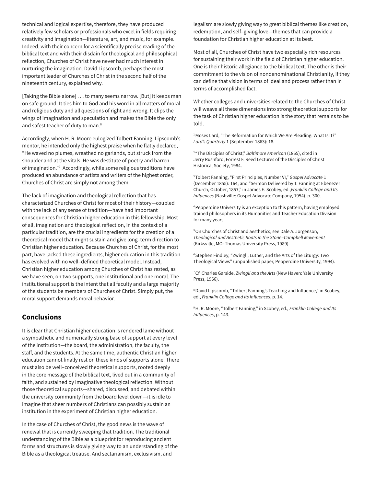technical and logical expertise, therefore, they have produced relatively few scholars or professionals who excel in fields requiring creativity and imagination—literature, art, and music, for example. Indeed, with their concern for a scientifically precise reading of the biblical text and with their disdain for theological and philosophical reflection, Churches of Christ have never had much interest in nurturing the imagination. David Lipscomb, perhaps the most important leader of Churches of Christ in the second half of the nineteenth century, explained why.

[Taking the Bible alone] . . . to many seems narrow. [But] it keeps man on safe ground. It ties him to God and his word in all matters of moral and religious duty and all questions of right and wrong. It clips the wings of imagination and speculation and makes the Bible the only and safest teacher of duty to man.<sup>8</sup>

Accordingly, when H. R. Moore eulogized Tolbert Fanning, Lipscomb's mentor, he intended only the highest praise when he flatly declared, "He waved no plumes, wreathed no garlands, but struck from the shoulder and at the vitals. He was destitute of poetry and barren of imagination."9 Accordingly, while some religious traditions have produced an abundance of artists and writers of the highest order, Churches of Christ are simply not among them.

The lack of imagination and theological reflection that has characterized Churches of Christ for most of their history—coupled with the lack of any sense of tradition—have had important consequences for Christian higher education in this fellowship. Most of all, imagination and theological reflection, in the context of a particular tradition, are the crucial ingredients for the creation of a theoretical model that might sustain and give long–term direction to Christian higher education. Because Churches of Christ, for the most part, have lacked these ingredients, higher education in this tradition has evolved with no well–defined theoretical model. Instead, Christian higher education among Churches of Christ has rested, as we have seen, on two supports, one institutional and one moral. The institutional support is the intent that all faculty and a large majority of the students be members of Churches of Christ. Simply put, the moral support demands moral behavior.

### **Conclusions**

It is clear that Christian higher education is rendered lame without a sympathetic and numerically strong base of support at every level of the institution—the board, the administration, the faculty, the staff, and the students. At the same time, authentic Christian higher education cannot finally rest on these kinds of supports alone. There must also be well–conceived theoretical supports, rooted deeply in the core message of the biblical text, lived out in a community of faith, and sustained by imaginative theological reflection. Without those theoretical supports—shared, discussed, and debated within the university community from the board level down—it is idle to imagine that sheer numbers of Christians can possibly sustain an institution in the experiment of Christian higher education.

In the case of Churches of Christ, the good news is the wave of renewal that is currently sweeping that tradition. The traditional understanding of the Bible as a blueprint for reproducing ancient forms and structures is slowly giving way to an understanding of the Bible as a theological treatise. And sectarianism, exclusivism, and

legalism are slowly giving way to great biblical themes like creation, redemption, and self–giving love—themes that can provide a foundation for Christian higher education at its best.

Most of all, Churches of Christ have two especially rich resources for sustaining their work in the field of Christian higher education. One is their historic allegiance to the biblical text. The other is their commitment to the vision of nondenominational Christianity, if they can define that vision in terms of ideal and process rather than in terms of accomplished fact.

Whether colleges and universities related to the Churches of Christ will weave all these dimensions into strong theoretical supports for the task of Christian higher education is the story that remains to be told.

<sup>1</sup> Moses Lard, "The Reformation for Which We Are Pleading: What Is It?" *Lard's Quarterly* 1 (September 1863): 18.

2 "The Disciples of Christ," *Baltimore American* (1865), cited in Jerry Rushford, Forrest F. Reed Lectures of the Disciples of Christ Historical Society, 1984.

3 Tolbert Fanning, "First Principles, Number VI," *Gospel Advocate* 1 (December 1855): 164; and "Sermon Delivered by T. Fanning at Ebenezer Church, October, 1857," in James E. Scobey, ed.,*Franklin College and Its Influences* (Nashville: Gospel Advocate Company, 1954), p. 300.

4 Pepperdine University is an exception to this pattern, having employed trained philosophers in its Humanities and Teacher Education Division for many years.

5 On Churches of Christ and aesthetics, see Dale A. Jorgenson, *Theological and Aesthetic Roots in the Stone–Campbell Movement* (Kirksville, MO: Thomas University Press, 1989).

<sup>6</sup> Stephen Findley, "Zwingli, Luther, and the Arts of the Liturgy: Two Theological Views" (unpublished paper, Pepperdine University, 1994).

7 Cf. Charles Garside, *Zwingli and the Arts* (New Haven: Yale University Press, 1966).

8 David Lipscomb, "Tolbert Fanning's Teaching and Influence," in Scobey, ed., *Franklin College and Its Influences*, p. 14.

9 H. R. Moore, "Tolbert Fanning," in Scobey, ed., *Franklin College and Its Influences*, p. 143.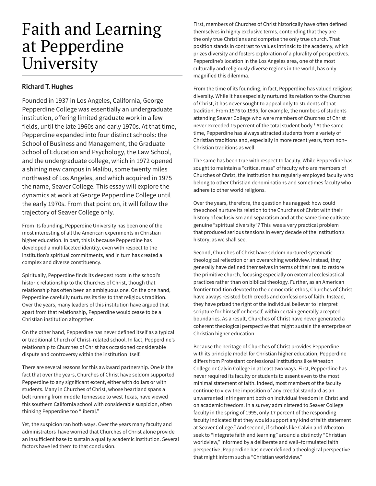# Faith and Learning at Pepperdine University

### **Richard T. Hughes**

Founded in 1937 in Los Angeles, California, George Pepperdine College was essentially an undergraduate institution, offering limited graduate work in a few fields, until the late 1960s and early 1970s. At that time, Pepperdine expanded into four distinct schools: the School of Business and Management, the Graduate School of Education and Psychology, the Law School, and the undergraduate college, which in 1972 opened a shining new campus in Malibu, some twenty miles northwest of Los Angeles, and which acquired in 1975 the name, Seaver College. This essay will explore the dynamics at work at George Pepperdine College until the early 1970s. From that point on, it will follow the trajectory of Seaver College only.

From its founding, Pepperdine University has been one of the most interesting of all the American experiments in Christian higher education. In part, this is because Pepperdine has developed a multifaceted identity, even with respect to the institution's spiritual commitments, and in turn has created a complex and diverse constituency.

Spiritually, Pepperdine finds its deepest roots in the school's historic relationship to the Churches of Christ, though that relationship has often been an ambiguous one. On the one hand, Pepperdine carefully nurtures its ties to that religious tradition. Over the years, many leaders of this institution have argued that apart from that relationship, Pepperdine would cease to be a Christian institution altogether.

On the other hand, Pepperdine has never defined itself as a typical or traditional Church of Christ–related school. In fact, Pepperdine's relationship to Churches of Christ has occasioned considerable dispute and controversy within the institution itself.

There are several reasons for this awkward partnership. One is the fact that over the years, Churches of Christ have seldom supported Pepperdine to any significant extent, either with dollars or with students. Many in Churches of Christ, whose heartland spans a belt running from middle Tennessee to west Texas, have viewed this southern California school with considerable suspicion, often thinking Pepperdine too "liberal."

Yet, the suspicion ran both ways. Over the years many faculty and administrators have worried that Churches of Christ alone provide an insufficient base to sustain a quality academic institution. Several factors have led them to that conclusion.

First, members of Churches of Christ historically have often defined themselves in highly exclusive terms, contending that they are the only true Christians and comprise the only true church. That position stands in contrast to values intrinsic to the academy, which prizes diversity and fosters exploration of a plurality of perspectives. Pepperdine's location in the Los Angeles area, one of the most culturally and religiously diverse regions in the world, has only magnified this dilemma.

From the time of its founding, in fact, Pepperdine has valued religious diversity. While it has especially nurtured its relation to the Churches of Christ, it has never sought to appeal only to students of that tradition. From 1976 to 1995, for example, the numbers of students attending Seaver College who were members of Churches of Christ never exceeded 15 percent of the total student body.<sup>1</sup> At the same time, Pepperdine has always attracted students from a variety of Christian traditions and, especially in more recent years, from non– Christian traditions as well.

The same has been true with respect to faculty. While Pepperdine has sought to maintain a "critical mass" of faculty who are members of Churches of Christ, the institution has regularly employed faculty who belong to other Christian denominations and sometimes faculty who adhere to other world religions.

Over the years, therefore, the question has nagged: how could the school nurture its relation to the Churches of Christ with their history of exclusivism and separatism and at the same time cultivate genuine "spiritual diversity"? This was a very practical problem that produced serious tensions in every decade of the institution's history, as we shall see.

Second, Churches of Christ have seldom nurtured systematic theological reflection or an overarching worldview. Instead, they generally have defined themselves in terms of their zeal to restore the primitive church, focusing especially on external ecclesiastical practices rather than on biblical theology. Further, as an American frontier tradition devoted to the democratic ethos, Churches of Christ have always resisted both creeds and confessions of faith. Instead, they have prized the right of the individual believer to interpret scripture for himself or herself, within certain generally accepted boundaries. As a result, Churches of Christ have never generated a coherent theological perspective that might sustain the enterprise of Christian higher education.

Because the heritage of Churches of Christ provides Pepperdine with its principle model for Christian higher education, Pepperdine differs from Protestant confessional institutions like Wheaton College or Calvin College in at least two ways. First, Pepperdine has never required its faculty or students to assent even to the most minimal statement of faith. Indeed, most members of the faculty continue to view the imposition of any creedal standard as an unwarranted infringement both on individual freedom in Christ and on academic freedom. In a survey administered to Seaver College faculty in the spring of 1995, only 17 percent of the responding faculty indicated that they would support any kind of faith statement at Seaver College.<sup>2</sup> And second, if schools like Calvin and Wheaton seek to "integrate faith and learning" around a distinctly "Christian worldview," informed by a deliberate and well–formulated faith perspective, Pepperdine has never defined a theological perspective that might inform such a "Christian worldview."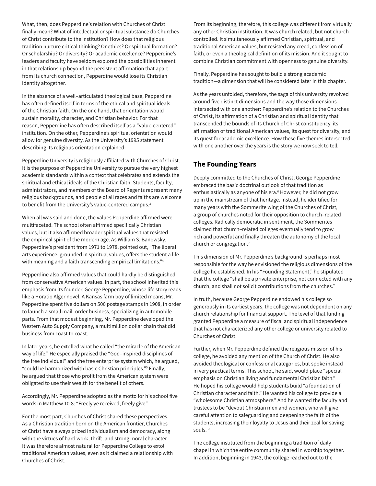What, then, does Pepperdine's relation with Churches of Christ finally mean? What of intellectual or spiritual substance do Churches of Christ contribute to the institution? How does that religious tradition nurture critical thinking? Or ethics? Or spiritual formation? Or scholarship? Or diversity? Or academic excellence? Pepperdine's leaders and faculty have seldom explored the possibilities inherent in that relationship beyond the persistent affirmation that apart from its church connection, Pepperdine would lose its Christian identity altogether.

In the absence of a well–articulated theological base, Pepperdine has often defined itself in terms of the ethical and spiritual ideals of the Christian faith. On the one hand, that orientation would sustain morality, character, and Christian behavior. For that reason, Pepperdine has often described itself as a "value-centered" institution. On the other, Pepperdine's spiritual orientation would allow for genuine diversity. As the University's 1995 statement describing its religious orientation explained:

Pepperdine University is religiously affiliated with Churches of Christ. It is the purpose of Pepperdine University to pursue the very highest academic standards within a context that celebrates and extends the spiritual and ethical ideals of the Christian faith. Students, faculty, administrators, and members of the Board of Regents represent many religious backgrounds, and people of all races and faiths are welcome to benefit from the University's value-centered campus.<sup>3</sup>

When all was said and done, the values Pepperdine affirmed were multifaceted. The school often affirmed specifically Christian values, but it also affirmed broader spiritual values that resisted the empirical spirit of the modern age. As William S. Banowsky, Pepperdine's president from 1971 to 1978, pointed out, "The liberal arts experience, grounded in spiritual values, offers the student a life with meaning and a faith transcending empirical limitations."4

Pepperdine also affirmed values that could hardly be distinguished from conservative American values. In part, the school inherited this emphasis from its founder, George Pepperdine, whose life story reads like a Horatio Alger novel. A Kansas farm boy of limited means, Mr. Pepperdine spent five dollars on 500 postage stamps in 1908, in order to launch a small mail–order business, specializing in automobile parts. From that modest beginning, Mr. Pepperdine developed the Western Auto Supply Company, a multimillion dollar chain that did business from coast to coast.

In later years, he extolled what he called "the miracle of the American way of life." He especially praised the "God–inspired disciplines of the free individual" and the free enterprise system which, he argued, "could be harmonized with basic Christian principles."5 Finally, he argued that those who profit from the American system were obligated to use their wealth for the benefit of others.

Accordingly, Mr. Pepperdine adopted as the motto for his school five words in Matthew 10:8: "Freely ye received; freely give."

For the most part, Churches of Christ shared these perspectives. As a Christian tradition born on the American frontier, Churches of Christ have always prized individualism and democracy, along with the virtues of hard work, thrift, and strong moral character. It was therefore almost natural for Pepperdine College to extol traditional American values, even as it claimed a relationship with Churches of Christ.

From its beginning, therefore, this college was different from virtually any other Christian institution. It was church related, but not church controlled. It simultaneously affirmed Christian, spiritual, and traditional American values, but resisted any creed, confession of faith, or even a theological definition of its mission. And it sought to combine Christian commitment with openness to genuine diversity.

Finally, Pepperdine has sought to build a strong academic tradition—a dimension that will be considered later in this chapter.

As the years unfolded, therefore, the saga of this university revolved around five distinct dimensions and the way those dimensions intersected with one another: Pepperdine's relation to the Churches of Christ, its affirmation of a Christian and spiritual identity that transcended the bounds of its Church of Christ constituency, its affirmation of traditional American values, its quest for diversity, and its quest for academic excellence. How these five themes intersected with one another over the years is the story we now seek to tell.

### **The Founding Years**

Deeply committed to the Churches of Christ, George Pepperdine embraced the basic doctrinal outlook of that tradition as enthusiastically as anyone of his era.<sup>6</sup> However, he did not grow up in the mainstream of that heritage. Instead, he identified for many years with the Sommerite wing of the Churches of Christ, a group of churches noted for their opposition to church–related colleges. Radically democratic in sentiment, the Sommerites claimed that church–related colleges eventually tend to grow rich and powerful and finally threaten the autonomy of the local church or congregation.7

This dimension of Mr. Pepperdine's background is perhaps most responsible for the way he envisioned the religious dimensions of the college he established. In his "Founding Statement," he stipulated that the college "shall be a private enterprise, not connected with any church, and shall not solicit contributions from the churches."

In truth, because George Pepperdine endowed his college so generously in its earliest years, the college was not dependent on any church relationship for financial support. The level of that funding granted Pepperdine a measure of fiscal and spiritual independence that has not characterized any other college or university related to Churches of Christ.

Further, when Mr. Pepperdine defined the religious mission of his college, he avoided any mention of the Church of Christ. He also avoided theological or confessional categories, but spoke instead in very practical terms. This school, he said, would place "special emphasis on Christian living and fundamental Christian faith." He hoped his college would help students build "a foundation of Christian character and faith." He wanted his college to provide a "wholesome Christian atmosphere." And he wanted the faculty and trustees to be "devout Christian men and women, who will give careful attention to safeguarding and deepening the faith of the students, increasing their loyalty to Jesus and their zeal for saving souls."8

The college instituted from the beginning a tradition of daily chapel in which the entire community shared in worship together. In addition, beginning in 1943, the college reached out to the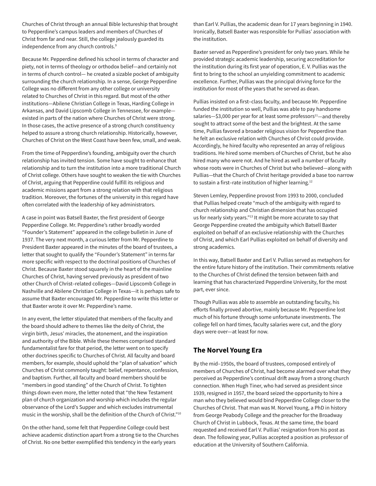Churches of Christ through an annual Bible lectureship that brought to Pepperdine's campus leaders and members of Churches of Christ from far and near. Still, the college jealously guarded its independence from any church controls.<sup>9</sup>

Because Mr. Pepperdine defined his school in terms of character and piety, not in terms of theology or orthodox belief—and certainly not in terms of church control— he created a sizable pocket of ambiguity surrounding the church relationship. In a sense, George Pepperdine College was no different from any other college or university related to Churches of Christ in this regard. But most of the other institutions—Abilene Christian College in Texas, Harding College in Arkansas, and David Lipscomb College in Tennessee, for example existed in parts of the nation where Churches of Christ were strong. In those cases, the active presence of a strong church constituency helped to assure a strong church relationship. Historically, however, Churches of Christ on the West Coast have been few, small, and weak.

From the time of Pepperdine's founding, ambiguity over the church relationship has invited tension. Some have sought to enhance that relationship and to turn the institution into a more traditional Church of Christ college. Others have sought to weaken the tie with Churches of Christ, arguing that Pepperdine could fulfill its religious and academic missions apart from a strong relation with that religious tradition. Moreover, the fortunes of the university in this regard have often correlated with the leadership of key administrators.

A case in point was Batsell Baxter, the first president of George Pepperdine College. Mr. Pepperdine's rather broadly worded "Founder's Statement" appeared in the college bulletin in June of 1937. The very next month, a curious letter from Mr. Pepperdine to President Baxter appeared in the minutes of the board of trustees, a letter that sought to qualify the "Founder's Statement" in terms far more specific with respect to the doctrinal positions of Churches of Christ. Because Baxter stood squarely in the heart of the mainline Churches of Christ, having served previously as president of two other Church of Christ–related colleges—David Lipscomb College in Nashville and Abilene Christian College in Texas—it is perhaps safe to assume that Baxter encouraged Mr. Pepperdine to write this letter or that Baxter wrote it over Mr. Pepperdine's name.

In any event, the letter stipulated that members of the faculty and the board should adhere to themes like the deity of Christ, the virgin birth, Jesus' miracles, the atonement, and the inspiration and authority of the Bible. While these themes comprised standard fundamentalist fare for that period, the letter went on to specify other doctrines specific to Churches of Christ. All faculty and board members, for example, should uphold the "plan of salvation" which Churches of Christ commonly taught: belief, repentance, confession, and baptism. Further, all faculty and board members should be "members in good standing" of the Church of Christ. To tighten things down even more, the letter noted that "the New Testament plan of church organization and worship which includes the regular observance of the Lord's Supper and which excludes instrumental music in the worship, shall be the definition of the Church of Christ."10

On the other hand, some felt that Pepperdine College could best achieve academic distinction apart from a strong tie to the Churches of Christ. No one better exemplified this tendency in the early years

than Earl V. Pullias, the academic dean for 17 years beginning in 1940. Ironically, Batsell Baxter was responsible for Pullias' association with the institution.

Baxter served as Pepperdine's president for only two years. While he provided strategic academic leadership, securing accreditation for the institution during its first year of operation, E. V. Pullias was the first to bring to the school an unyielding commitment to academic excellence. Further, Pullias was the principal driving force for the institution for most of the years that he served as dean.

Pullias insisted on a first–class faculty, and because Mr. Pepperdine funded the institution so well, Pullias was able to pay handsome salaries—\$3,000 per year for at least some professors $11$ —and thereby sought to attract some of the best and the brightest. At the same time, Pullias favored a broader religious vision for Pepperdine than he felt an exclusive relation with Churches of Christ could provide. Accordingly, he hired faculty who represented an array of religious traditions. He hired some members of Churches of Christ, but he also hired many who were not. And he hired as well a number of faculty whose roots were in Churches of Christ but who believed—along with Pullias—that the Church of Christ heritage provided a base too narrow to sustain a first-rate institution of higher learning.<sup>12</sup>

Steven Lemley, Pepperdine provost from 1993 to 2000, concluded that Pullias helped create "much of the ambiguity with regard to church relationship and Christian dimension that has occupied us for nearly sixty years."13 It might be more accurate to say that George Pepperdine created the ambiguity which Batsell Baxter exploited on behalf of an exclusive relationship with the Churches of Christ, and which Earl Pullias exploited on behalf of diversity and strong academics.

In this way, Batsell Baxter and Earl V. Pullias served as metaphors for the entire future history of the institution. Their commitments relative to the Churches of Christ defined the tension between faith and learning that has characterized Pepperdine University, for the most part, ever since.

Though Pullias was able to assemble an outstanding faculty, his efforts finally proved abortive, mainly because Mr. Pepperdine lost much of his fortune through some unfortunate investments. The college fell on hard times, faculty salaries were cut, and the glory days were over—at least for now.

### **The Norvel Young Era**

By the mid–1950s, the board of trustees, composed entirely of members of Churches of Christ, had become alarmed over what they perceived as Pepperdine's continual drift away from a strong church connection. When Hugh Tiner, who had served as president since 1939, resigned in 1957, the board seized the opportunity to hire a man who they believed would bind Pepperdine College closer to the Churches of Christ. That man was M. Norvel Young, a PhD in history from George Peabody College and the preacher for the Broadway Church of Christ in Lubbock, Texas. At the same time, the board requested and received Earl V. Pullias' resignation from his post as dean. The following year, Pullias accepted a position as professor of education at the University of Southern California.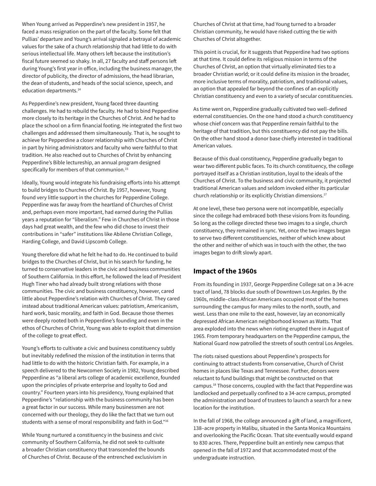When Young arrived as Pepperdine's new president in 1957, he faced a mass resignation on the part of the faculty. Some felt that Pullias' departure and Young's arrival signaled a betrayal of academic values for the sake of a church relationship that had little to do with serious intellectual life. Many others left because the institution's fiscal future seemed so shaky. In all, 27 faculty and staff persons left during Young's first year in office, including the business manager, the director of publicity, the director of admissions, the head librarian, the dean of students, and heads of the social science, speech, and education departments.<sup>14</sup>

As Pepperdine's new president, Young faced three daunting challenges. He had to rebuild the faculty. He had to bind Pepperdine more closely to its heritage in the Churches of Christ. And he had to place the school on a firm financial footing. He integrated the first two challenges and addressed them simultaneously. That is, he sought to achieve for Pepperdine a closer relationship with Churches of Christ in part by hiring administrators and faculty who were faithful to that tradition. He also reached out to Churches of Christ by enhancing Pepperdine's Bible lectureship, an annual program designed specifically for members of that communion.<sup>15</sup>

Ideally, Young would integrate his fundraising efforts into his attempt to build bridges to Churches of Christ. By 1957, however, Young found very little support in the churches for Pepperdine College. Pepperdine was far away from the heartland of Churches of Christ and, perhaps even more important, had earned during the Pullias years a reputation for "liberalism." Few in Churches of Christ in those days had great wealth, and the few who did chose to invest their contributions in "safer" institutions like Abilene Christian College, Harding College, and David Lipscomb College.

Young therefore did what he felt he had to do. He continued to build bridges to the Churches of Christ, but in his search for funding, he turned to conservative leaders in the civic and business communities of Southern California. In this effort, he followed the lead of President Hugh Tiner who had already built strong relations with those communities. The civic and business constituency, however, cared little about Pepperdine's relation with Churches of Christ. They cared instead about traditional American values: patriotism, Americanism, hard work, basic morality, and faith in God. Because those themes were deeply rooted both in Pepperdine's founding and even in the ethos of Churches of Christ, Young was able to exploit that dimension of the college to great effect.

Young's efforts to cultivate a civic and business constituency subtly but inevitably redefined the mission of the institution in terms that had little to do with the historic Christian faith. For example, in a speech delivered to the Newcomen Society in 1982, Young described Pepperdine as "a liberal arts college of academic excellence, founded upon the principles of private enterprise and loyalty to God and country." Fourteen years into his presidency, Young explained that Pepperdine's "relationship with the business community has been a great factor in our success. While many businessmen are not concerned with our theology, they do like the fact that we turn out students with a sense of moral responsibility and faith in God."16

While Young nurtured a constituency in the business and civic community of Southern California, he did not seek to cultivate a broader Christian constituency that transcended the bounds of Churches of Christ. Because of the entrenched exclusivism in Churches of Christ at that time, had Young turned to a broader Christian community, he would have risked cutting the tie with Churches of Christ altogether.

This point is crucial, for it suggests that Pepperdine had two options at that time. It could define its religious mission in terms of the Churches of Christ, an option that virtually eliminated ties to a broader Christian world; or it could define its mission in the broader, more inclusive terms of morality, patriotism, and traditional values, an option that appealed far beyond the confines of an explicitly Christian constituency and even to a variety of secular constituencies.

As time went on, Pepperdine gradually cultivated two well–defined external constituencies. On the one hand stood a church constituency whose chief concern was that Pepperdine remain faithful to the heritage of that tradition, but this constituency did not pay the bills. On the other hand stood a donor base chiefly interested in traditional American values.

Because of this dual constituency, Pepperdine gradually began to wear two different public faces. To its church constituency, the college portrayed itself as a Christian institution, loyal to the ideals of the Churches of Christ. To the business and civic community, it projected traditional American values and seldom invoked either its particular church relationship or its explicitly Christian dimensions.<sup>17</sup>

At one level, these two persona were not incompatible, especially since the college had embraced both these visions from its founding. So long as the college directed these two images to a single, church constituency, they remained in sync. Yet, once the two images began to serve two different constituencies, neither of which knew about the other and neither of which was in touch with the other, the two images began to drift slowly apart.

### **Impact of the 1960s**

From its founding in 1937, George Pepperdine College sat on a 34-acre tract of land, 78 blocks due south of Downtown Los Angeles. By the 1960s, middle–class African Americans occupied most of the homes surrounding the campus for many miles to the north, south, and west. Less than one mile to the east, however, lay an economically depressed African American neighborhood known as Watts. That area exploded into the news when rioting erupted there in August of 1965. From temporary headquarters on the Pepperdine campus, the National Guard now patrolled the streets of south central Los Angeles.

The riots raised questions about Pepperdine's prospects for continuing to attract students from conservative, Church of Christ homes in places like Texas and Tennessee. Further, donors were reluctant to fund buildings that might be constructed on that campus.18 Those concerns, coupled with the fact that Pepperdine was landlocked and perpetually confined to a 34-acre campus, prompted the administration and board of trustees to launch a search for a new location for the institution.

In the fall of 1968, the college announced a gift of land, a magnificent, 138–acre property in Malibu, situated in the Santa Monica Mountains and overlooking the Pacific Ocean. That site eventually would expand to 830 acres. There, Pepperdine built an entirely new campus that opened in the fall of 1972 and that accommodated most of the undergraduate instruction.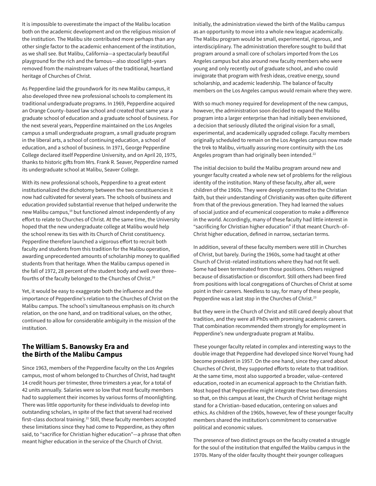It is impossible to overestimate the impact of the Malibu location both on the academic development and on the religious mission of the institution. The Malibu site contributed more perhaps than any other single factor to the academic enhancement of the institution, as we shall see. But Malibu, California—a spectacularly beautiful playground for the rich and the famous—also stood light–years removed from the mainstream values of the traditional, heartland heritage of Churches of Christ.

As Pepperdine laid the groundwork for its new Malibu campus, it also developed three new professional schools to complement its traditional undergraduate programs. In 1969, Pepperdine acquired an Orange County–based law school and created that same year a graduate school of education and a graduate school of business. For the next several years, Pepperdine maintained on the Los Angeles campus a small undergraduate program, a small graduate program in the liberal arts, a school of continuing education, a school of education, and a school of business. In 1971, George Pepperdine College declared itself Pepperdine University, and on April 20, 1975, thanks to historic gifts from Mrs. Frank R. Seaver, Pepperdine named its undergraduate school at Malibu, Seaver College.

With its new professional schools, Pepperdine to a great extent institutionalized the dichotomy between the two constituencies it now had cultivated for several years. The schools of business and education provided substantial revenue that helped underwrite the new Malibu campus,<sup>19</sup> but functioned almost independently of any effort to relate to Churches of Christ. At the same time, the University hoped that the new undergraduate college at Malibu would help the school renew its ties with its Church of Christ constituency. Pepperdine therefore launched a vigorous effort to recruit both faculty and students from this tradition for the Malibu operation, awarding unprecedented amounts of scholarship money to qualified students from that heritage. When the Malibu campus opened in the fall of 1972, 28 percent of the student body and well over three– fourths of the faculty belonged to the Churches of Christ.20

Yet, it would be easy to exaggerate both the influence and the importance of Pepperdine's relation to the Churches of Christ on the Malibu campus. The school's simultaneous emphasis on its church relation, on the one hand, and on traditional values, on the other, continued to allow for considerable ambiguity in the mission of the institution.

### **The William S. Banowsky Era and the Birth of the Malibu Campus**

Since 1963, members of the Pepperdine faculty on the Los Angeles campus, most of whom belonged to Churches of Christ, had taught 14 credit hours per trimester, three trimesters a year, for a total of 42 units annually. Salaries were so low that most faculty members had to supplement their incomes by various forms of moonlighting. There was little opportunity for these individuals to develop into outstanding scholars, in spite of the fact that several had received first-class doctoral training.<sup>21</sup> Still, these faculty members accepted these limitations since they had come to Pepperdine, as they often said, to "sacrifice for Christian higher education"—a phrase that often meant higher education in the service of the Church of Christ.

Initially, the administration viewed the birth of the Malibu campus as an opportunity to move into a whole new league academically. The Malibu program would be small, experimental, rigorous, and interdisciplinary. The administration therefore sought to build that program around a small core of scholars imported from the Los Angeles campus but also around new faculty members who were young and only recently out of graduate school, and who could invigorate that program with fresh ideas, creative energy, sound scholarship, and academic leadership. The balance of faculty members on the Los Angeles campus would remain where they were.

With so much money required for development of the new campus, however, the administration soon decided to expand the Malibu program into a larger enterprise than had initially been envisioned, a decision that seriously diluted the original vision for a small, experimental, and academically upgraded college. Faculty members originally scheduled to remain on the Los Angeles campus now made the trek to Malibu, virtually assuring more continuity with the Los Angeles program than had originally been intended.<sup>22</sup>

The initial decision to build the Malibu program around new and younger faculty created a whole new set of problems for the religious identity of the institution. Many of these faculty, after all, were children of the 1960s. They were deeply committed to the Christian faith, but their understanding of Christianity was often quite different from that of the previous generation. They had learned the values of social justice and of ecumenical cooperation to make a difference in the world. Accordingly, many of these faculty had little interest in "sacrificing for Christian higher education" if that meant Church–of– Christ higher education, defined in narrow, sectarian terms.

In addition, several of these faculty members were still in Churches of Christ, but barely. During the 1960s, some had taught at other Church of Christ–related institutions where they had not fit well. Some had been terminated from those positions. Others resigned because of dissatisfaction or discomfort. Still others had been fired from positions with local congregations of Churches of Christ at some point in their careers. Needless to say, for many of these people, Pepperdine was a last stop in the Churches of Christ.<sup>23</sup>

But they were in the Church of Christ and still cared deeply about that tradition, and they were all PhDs with promising academic careers. That combination recommended them strongly for employment in Pepperdine's new undergraduate program at Malibu.

These younger faculty related in complex and interesting ways to the double image that Pepperdine had developed since Norvel Young had become president in 1957. On the one hand, since they cared about Churches of Christ, they supported efforts to relate to that tradition. At the same time, most also supported a broader, value–centered education, rooted in an ecumenical approach to the Christian faith. Most hoped that Pepperdine might integrate these two dimensions so that, on this campus at least, the Church of Christ heritage might stand for a Christian–based education, centering on values and ethics. As children of the 1960s, however, few of these younger faculty members shared the institution's commitment to conservative political and economic values.

The presence of two distinct groups on the faculty created a struggle for the soul of the institution that engulfed the Malibu campus in the 1970s. Many of the older faculty thought their younger colleagues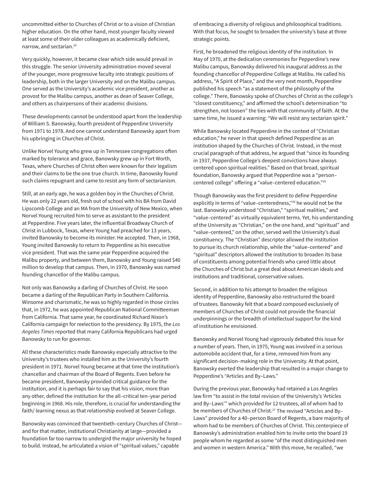uncommitted either to Churches of Christ or to a vision of Christian higher education. On the other hand, most younger faculty viewed at least some of their older colleagues as academically deficient, narrow, and sectarian.<sup>24</sup>

Very quickly, however, it became clear which side would prevail in this struggle. The senior University administration moved several of the younger, more progressive faculty into strategic positions of leadership, both in the larger University and on the Malibu campus. One served as the University's academic vice president, another as provost for the Malibu campus, another as dean of Seaver College, and others as chairpersons of their academic divisions.

These developments cannot be understood apart from the leadership of William S. Banowsky, fourth president of Pepperdine University from 1971 to 1978. And one cannot understand Banowsky apart from his upbringing in Churches of Christ.

Unlike Norvel Young who grew up in Tennessee congregations often marked by tolerance and grace, Banowsky grew up in Fort Worth, Texas, where Churches of Christ often were known for their legalism and their claims to be the one true church. In time, Banowsky found such claims repugnant and came to resist any form of sectarianism.

Still, at an early age, he was a golden boy in the Churches of Christ. He was only 22 years old, fresh out of school with his BA from David Lipscomb College and an MA from the University of New Mexico, when Norvel Young recruited him to serve as assistant to the president at Pepperdine. Five years later, the influential Broadway Church of Christ in Lubbock, Texas, where Young had preached for 13 years, invited Banowsky to become its minister. He accepted. Then, in 1968, Young invited Banowsky to return to Pepperdine as his executive vice president. That was the same year Pepperdine acquired the Malibu property, and between them, Banowsky and Young raised \$40 million to develop that campus. Then, in 1970, Banowsky was named founding chancellor of the Malibu campus.

Not only was Banowsky a darling of Churches of Christ. He soon became a darling of the Republican Party in Southern California. Winsome and charismatic, he was so highly regarded in those circles that, in 1972, he was appointed Republican National Committeeman from California. That same year, he coordinated Richard Nixon's California campaign for reelection to the presidency. By 1975, the *Los Angeles Times* reported that many California Republicans had urged Banowsky to run for governor.

All these characteristics made Banowsky especially attractive to the University's trustees who installed him as the University's fourth president in 1971. Norvel Young became at that time the institution's chancellor and chairman of the Board of Regents. Even before he became president, Banowsky provided critical guidance for the institution, and it is perhaps fair to say that his vision, more than any other, defined the institution for the all–critical ten–year period beginning in 1968. His role, therefore, is crucial for understanding the faith/ learning nexus as that relationship evolved at Seaver College.

Banowsky was convinced that twentieth–century Churches of Christ and for that matter, institutional Christianity at large—provided a foundation far too narrow to undergird the major university he hoped to build. Instead, he articulated a vision of "spiritual values," capable

of embracing a diversity of religious and philosophical traditions. With that focus, he sought to broaden the university's base at three strategic points.

First, he broadened the religious identity of the institution. In May of 1970, at the dedication ceremonies for Pepperdine's new Malibu campus, Banowsky delivered his inaugural address as the founding chancellor of Pepperdine College at Malibu. He called his address, "A Spirit of Place," and the very next month, Pepperdine published his speech "as a statement of the philosophy of the college." There, Banowsky spoke of Churches of Christ as the college's "closest constituency," and affirmed the school's determination "to strengthen, not loosen" the ties with that community of faith. At the same time, he issued a warning: "We will resist any sectarian spirit."

While Banowsky located Pepperdine in the context of "Christian education," he never in that speech defined Pepperdine as an institution shaped by the Churches of Christ. Instead, in the most crucial paragraph of that address, he argued that "since its founding in 1937, Pepperdine College's deepest convictions have always centered upon spiritual realities." Based on that broad, spiritual foundation, Banowsky argued that Pepperdine was a "person– centered college" offering a "value–centered education."25

Though Banowsky was the first president to define Pepperdine explicitly in terms of "value-centeredness,"<sup>26</sup> he would not be the last. Banowsky understood "Christian," "spiritual realities," and "value–centered" as virtually equivalent terms. Yet, his understanding of the University as "Christian," on the one hand, and "spiritual" and "value–centered," on the other, served well the University's dual constituency. The "Christian" descriptor allowed the institution to pursue its church relationship, while the "value–centered" and "spiritual" descriptors allowed the institution to broaden its base of constituents among potential friends who cared little about the Churches of Christ but a great deal about American ideals and institutions and traditional, conservative values.

Second, in addition to his attempt to broaden the religious identity of Pepperdine, Banowsky also restructured the board of trustees. Banowsky felt that a board composed exclusively of members of Churches of Christ could not provide the financial underpinnings or the breadth of intellectual support for the kind of institution he envisioned.

Banowsky and Norvel Young had vigorously debated this issue for a number of years. Then, in 1975, Young was involved in a serious automobile accident that, for a time, removed him from any significant decision–making role in the University. At that point, Banowsky exerted the leadership that resulted in a major change to Pepperdine's "Articles and By–Laws."

During the previous year, Banowsky had retained a Los Angeles law firm "to assist in the total revision of the University's 'Articles and By–Laws'" which provided for 12 trustees, all of whom had to be members of Churches of Christ.<sup>27</sup> The revised "Articles and By-Laws" provided for a 40–person Board of Regents, a bare majority of whom had to be members of Churches of Christ. This centerpiece of Banowsky's administration enabled him to invite onto the board 19 people whom he regarded as some "of the most distinguished men and women in western America." With this move, he recalled, "we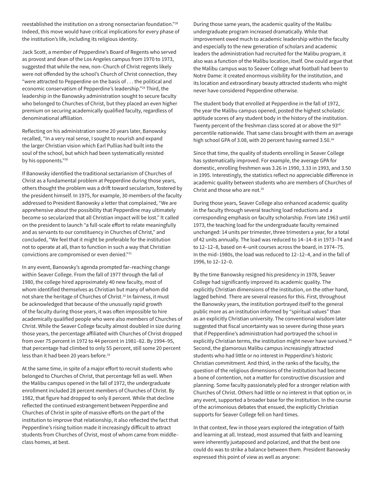reestablished the institution on a strong nonsectarian foundation."28 Indeed, this move would have critical implications for every phase of the institution's life, including its religious identity.

Jack Scott, a member of Pepperdine's Board of Regents who served as provost and dean of the Los Angeles campus from 1970 to 1973, suggested that while the new, non–Church of Christ regents likely were not offended by the school's Church of Christ connection, they "were attracted to Pepperdine on the basis of . . . the political and economic conservatism of Pepperdine's leadership."29 Third, the leadership in the Banowsky administration sought to secure faculty who belonged to Churches of Christ, but they placed an even higher premium on securing academically qualified faculty, regardless of denominational affiliation.

Reflecting on his administration some 20 years later, Banowsky recalled, "In a very real sense, I sought to nourish and expand the larger Christian vision which Earl Pullias had built into the soul of the school, but which had been systematically resisted by his opponents."30

If Banowsky identified the traditional sectarianism of Churches of Christ as a fundamental problem at Pepperdine during those years, others thought the problem was a drift toward secularism, fostered by the president himself. In 1975, for example, 30 members of the faculty addressed to President Banowsky a letter that complained, "We are apprehensive about the possibility that Pepperdine may ultimately become so secularized that all Christian impact will be lost." It called on the president to launch "a full-scale effort to relate meaningfully and as servants to our constituency in Churches of Christ," and concluded, "We feel that it might be preferable for the institution not to operate at all, than to function in such a way that Christian convictions are compromised or even denied."31

In any event, Banowsky's agenda prompted far–reaching change within Seaver College. From the fall of 1977 through the fall of 1980, the college hired approximately 40 new faculty, most of whom identified themselves as Christian but many of whom did not share the heritage of Churches of Christ.<sup>32</sup> In fairness, it must be acknowledged that because of the unusually rapid growth of the faculty during those years, it was often impossible to hire academically qualified people who were also members of Churches of Christ. While the Seaver College faculty almost doubled in size during those years, the percentage affiliated with Churches of Christ dropped from over 75 percent in 1972 to 44 percent in 1981–82. By 1994–95, that percentage had climbed to only 55 percent, still some 20 percent less than it had been 20 years before.33

At the same time, in spite of a major effort to recruit students who belonged to Churches of Christ, that percentage fell as well. When the Malibu campus opened in the fall of 1972, the undergraduate enrollment included 28 percent members of Churches of Christ. By 1982, that figure had dropped to only 8 percent. While that decline reflected the continued estrangement between Pepperdine and Churches of Christ in spite of massive efforts on the part of the institution to improve that relationship, it also reflected the fact that Pepperdine's rising tuition made it increasingly difficult to attract students from Churches of Christ, most of whom came from middle– class homes, at best.

During those same years, the academic quality of the Malibu undergraduate program increased dramatically. While that improvement owed much to academic leadership within the faculty and especially to the new generation of scholars and academic leaders the administration had recruited for the Malibu program, it also was a function of the Malibu location, itself. One could argue that the Malibu campus was to Seaver College what football had been to Notre Dame: it created enormous visibility for the institution, and its location and extraordinary beauty attracted students who might never have considered Pepperdine otherwise.

The student body that enrolled at Pepperdine in the fall of 1972, the year the Malibu campus opened, posted the highest scholastic aptitude scores of any student body in the history of the institution. Twenty percent of the freshman class scored at or above the 93rd percentile nationwide. That same class brought with them an average high school GPA of 3.08, with 20 percent having earned 3.50.<sup>34</sup>

Since that time, the quality of students enrolling in Seaver College has systematically improved. For example, the average GPA for domestic, enrolling freshmen was 3.26 in 1990, 3.33 in 1993, and 3.50 in 1995. Interestingly, the statistics reflect no appreciable difference in academic quality between students who are members of Churches of Christ and those who are not.<sup>35</sup>

During those years, Seaver College also enhanced academic quality in the faculty through several teaching load reductions and a corresponding emphasis on faculty scholarship. From late 1963 until 1973, the teaching load for the undergraduate faculty remained unchanged: 14 units per trimester, three trimesters a year, for a total of 42 units annually. The load was reduced to 14–14–8 in 1973–74 and to 12–12–8, based on 4–unit courses across the board, in 1974–75. In the mid–1980s, the load was reduced to 12–12–4, and in the fall of 1996, to 12–12–0.

By the time Banowsky resigned his presidency in 1978, Seaver College had significantly improved its academic quality. The explicitly Christian dimensions of the institution, on the other hand, lagged behind. There are several reasons for this. First, throughout the Banowsky years, the institution portrayed itself to the general public more as an institution informed by "spiritual values" than as an explicitly Christian university. The conventional wisdom later suggested that fiscal uncertainty was so severe during those years that if Pepperdine's administration had portrayed the school in explicitly Christian terms, the institution might never have survived.<sup>36</sup> Second, the glamorous Malibu campus increasingly attracted students who had little or no interest in Pepperdine's historic Christian commitment. And third, in the ranks of the faculty, the question of the religious dimensions of the institution had become a bone of contention, not a matter for constructive discussion and planning. Some faculty passionately pled for a stronger relation with Churches of Christ. Others had little or no interest in that option or, in any event, supported a broader base for the institution. In the course of the acrimonious debates that ensued, the explicitly Christian supports for Seaver College fell on hard times.

In that context, few in those years explored the integration of faith and learning at all. Instead, most assumed that faith and learning were inherently juxtaposed and polarized, and that the best one could do was to strike a balance between them. President Banowsky expressed this point of view as well as anyone: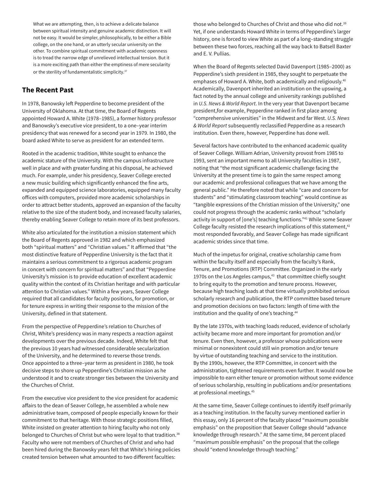What we are attempting, then, is to achieve a delicate balance between spiritual intensity and genuine academic distinction. It will not be easy. It would be simpler, philosophically, to be either a Bible college, on the one hand, or an utterly secular university on the other. To combine spiritual commitment with academic openness is to tread the narrow edge of unrelieved intellectual tension. But it is a more exciting path than either the emptiness of mere secularity or the sterility of fundamentalistic simplicity.<sup>37</sup>

### **The Recent Past**

In 1978, Banowsky left Pepperdine to become president of the University of Oklahoma. At that time, the Board of Regents appointed Howard A. White (1978–1985), a former history professor and Banowsky's executive vice president, to a one–year interim presidency that was renewed for a second year in 1979. In 1980, the board asked White to serve as president for an extended term.

Rooted in the academic tradition, White sought to enhance the academic stature of the University. With the campus infrastructure well in place and with greater funding at his disposal, he achieved much. For example, under his presidency, Seaver College erected a new music building which significantly enhanced the fine arts, expanded and equipped science laboratories, equipped many faculty offices with computers, provided more academic scholarships in order to attract better students, approved an expansion of the faculty relative to the size of the student body, and increased faculty salaries, thereby enabling Seaver College to retain more of its best professors.

White also articulated for the institution a mission statement which the Board of Regents approved in 1982 and which emphasized both "spiritual matters" and "Christian values." It affirmed that "the most distinctive feature of Pepperdine University is the fact that it maintains a serious commitment to a rigorous academic program in concert with concern for spiritual matters" and that "Pepperdine University's mission is to provide education of excellent academic quality within the context of its Christian heritage and with particular attention to Christian values." Within a few years, Seaver College required that all candidates for faculty positions, for promotion, or for tenure express in writing their response to the mission of the University, defined in that statement.

From the perspective of Pepperdine's relation to Churches of Christ, White's presidency was in many respects a reaction against developments over the previous decade. Indeed, White felt that the previous 10 years had witnessed considerable secularization of the University, and he determined to reverse those trends. Once appointed to a three–year term as president in 1980, he took decisive steps to shore up Pepperdine's Christian mission as he understood it and to create stronger ties between the University and the Churches of Christ.

From the executive vice president to the vice president for academic affairs to the dean of Seaver College, he assembled a whole new administrative team, composed of people especially known for their commitment to that heritage. With those strategic positions filled, White insisted on greater attention to hiring faculty who not only belonged to Churches of Christ but who were loyal to that tradition.<sup>38</sup> Faculty who were not members of Churches of Christ and who had been hired during the Banowsky years felt that White's hiring policies created tension between what amounted to two different faculties:

those who belonged to Churches of Christ and those who did not.<sup>39</sup> Yet, if one understands Howard White in terms of Pepperdine's larger history, one is forced to view White as part of a long–standing struggle between these two forces, reaching all the way back to Batsell Baxter and E. V. Pullias.

When the Board of Regents selected David Davenport (1985–2000) as Pepperdine's sixth president in 1985, they sought to perpetuate the emphases of Howard A. White, both academically and religiously.<sup>40</sup> Academically, Davenport inherited an institution on the upswing, a fact noted by the annual college and university rankings published in *U.S. News & World Report*. In the very year that Davenport became president,for example, Pepperdine ranked in first place among "comprehensive universities" in the Midwest and far West. *U.S. News & World Report* subsequently reclassified Pepperdine as a research institution. Even there, however, Pepperdine has done well.

Several factors have contributed to the enhanced academic quality of Seaver College. William Adrian, University provost from 1985 to 1993, sent an important memo to all University faculties in 1987, noting that "the most significant academic challenge facing the University at the present time is to gain the same respect among our academic and professional colleagues that we have among the general public." He therefore noted that while "care and concern for students" and "stimulating classroom teaching" would continue as "tangible expressions of the Christian mission of the University," one could not progress through the academic ranks without "scholarly activity in support of [one's] teaching functions."41 While some Seaver College faculty resisted the research implications of this statement,<sup>42</sup> most responded favorably, and Seaver College has made significant academic strides since that time.

Much of the impetus for original, creative scholarship came from within the faculty itself and especially from the faculty's Rank, Tenure, and Promotions (RTP) Committee. Organized in the early 1970s on the Los Angeles campus,<sup>43</sup> that committee chiefly sought to bring equity to the promotion and tenure process. However, because high teaching loads at that time virtually prohibited serious scholarly research and publication, the RTP committee based tenure and promotion decisions on two factors: length of time with the institution and the quality of one's teaching.<sup>44</sup>

By the late 1970s, with teaching loads reduced, evidence of scholarly activity became more and more important for promotion and/or tenure. Even then, however, a professor whose publications were minimal or nonexistent could still win promotion and/or tenure by virtue of outstanding teaching and service to the institution. By the 1990s, however, the RTP Committee, in concert with the administration, tightened requirements even further. It would now be impossible to earn either tenure or promotion without some evidence of serious scholarship, resulting in publications and/or presentations at professional meetings.45

At the same time, Seaver College continues to identify itself primarily as a teaching institution. In the faculty survey mentioned earlier in this essay, only 16 percent of the faculty placed "maximum possible emphasis" on the proposition that Seaver College should "advance knowledge through research." At the same time, 84 percent placed "maximum possible emphasis" on the proposal that the college should "extend knowledge through teaching."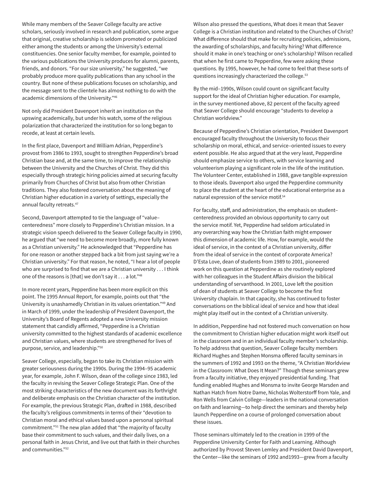While many members of the Seaver College faculty are active scholars, seriously involved in research and publication, some argue that original, creative scholarship is seldom promoted or publicized either among the students or among the University's external constituencies. One senior faculty member, for example, pointed to the various publications the University produces for alumni, parents, friends, and donors. "For our size university," he suggested, "we probably produce more quality publications than any school in the country. But none of these publications focuses on scholarship, and the message sent to the clientele has almost nothing to do with the academic dimensions of the University."46

Not only did President Davenport inherit an institution on the upswing academically, but under his watch, some of the religious polarization that characterized the institution for so long began to recede, at least at certain levels.

In the first place, Davenport and William Adrian, Pepperdine's provost from 1986 to 1993, sought to strengthen Pepperdine's broad Christian base and, at the same time, to improve the relationship between the University and the Churches of Christ. They did this especially through strategic hiring policies aimed at securing faculty primarily from Churches of Christ but also from other Christian traditions. They also fostered conversation about the meaning of Christian higher education in a variety of settings, especially the annual faculty retreats.<sup>47</sup>

Second, Davenport attempted to tie the language of "value– centeredness" more closely to Pepperdine's Christian mission. In a strategic vision speech delivered to the Seaver College faculty in 1990, he argued that "we need to become more broadly, more fully known as a Christian university." He acknowledged that "Pepperdine has for one reason or another stepped back a bit from just saying we're a Christian university." For that reason, he noted, "I hear a lot of people who are surprised to find that we are a Christian university . . . I think one of the reasons is [that] we don't say it . . . a lot."48

In more recent years, Pepperdine has been more explicit on this point. The 1995 Annual Report, for example, points out that "the University is unashamedly Christian in its values orientation."49 And in March of 1999, under the leadership of President Davenport, the University's Board of Regents adopted a new University mission statement that candidly affirmed, "Pepperdine is a Christian university committed to the highest standards of academic excellence and Christian values, where students are strengthened for lives of purpose, service, and leadership."50

Seaver College, especially, began to take its Christian mission with greater seriousness during the 1990s. During the 1994–95 academic year, for example, John F. Wilson, dean of the college since 1983, led the faculty in revising the Seaver College Strategic Plan. One of the most striking characteristics of the new document was its forthright and deliberate emphasis on the Christian character of the institution. For example, the previous Strategic Plan, drafted in 1988, described the faculty's religious commitments in terms of their "devotion to Christian moral and ethical values based upon a personal spiritual commitment."51 The new plan added that "the majority of faculty base their commitment to such values, and their daily lives, on a personal faith in Jesus Christ, and live out that faith in their churches and communities."52

Wilson also pressed the questions, What does it mean that Seaver College is a Christian institution and related to the Churches of Christ? What difference should that make for recruiting policies, admissions, the awarding of scholarships, and faculty hiring? What difference should it make in one's teaching or one's scholarship? Wilson recalled that when he first came to Pepperdine, few were asking these questions. By 1995, however, he had come to feel that these sorts of questions increasingly characterized the college.<sup>53</sup>

By the mid–1990s, Wilson could count on significant faculty support for the ideal of Christian higher education. For example, in the survey mentioned above, 82 percent of the faculty agreed that Seaver College should encourage "students to develop a Christian worldview."

Because of Pepperdine's Christian orientation, President Davenport encouraged faculty throughout the University to focus their scholarship on moral, ethical, and service–oriented issues to every extent possible. He also argued that at the very least, Pepperdine should emphasize service to others, with service learning and volunteerism playing a significant role in the life of the institution. The Volunteer Center, established in 1988, gave tangible expression to those ideals. Davenport also urged the Pepperdine community to place the student at the heart of the educational enterprise as a natural expression of the service motif.<sup>54</sup>

For faculty, staff, and administration, the emphasis on student– centeredness provided an obvious opportunity to carry out the service motif. Yet, Pepperdine had seldom articulated in any overarching way how the Christian faith might empower this dimension of academic life. How, for example, would the ideal of service, in the context of a Christian university, differ from the ideal of service in the context of corporate America? D'Esta Love, dean of students from 1989 to 2001, pioneered work on this question at Pepperdine as she routinely explored with her colleagues in the Student Affairs division the biblical understanding of servanthood. In 2001, Love left the position of dean of students at Seaver College to become the first University chaplain. In that capacity, she has continued to foster conversations on the biblical ideal of service and how that ideal might play itself out in the context of a Christian university.

In addition, Pepperdine had not fostered much conversation on how the commitment to Christian higher education might work itself out in the classroom and in an individual faculty member's scholarship. To help address that question, Seaver College faculty members Richard Hughes and Stephen Monsma offered faculty seminars in the summers of 1992 and 1993 on the theme, "A Christian Worldview in the Classroom: What Does It Mean?" Though these seminars grew from a faculty initiative, they enjoyed presidential funding. That funding enabled Hughes and Monsma to invite George Marsden and Nathan Hatch from Notre Dame, Nicholas Wolterstorff from Yale, and Ron Wells from Calvin College—leaders in the national conversation on faith and learning—to help direct the seminars and thereby help launch Pepperdine on a course of prolonged conversation about these issues.

Those seminars ultimately led to the creation in 1999 of the Pepperdine University Center for Faith and Learning. Although authorized by Provost Steven Lemley and President David Davenport, the Center—like the seminars of 1992 and1993—grew from a faculty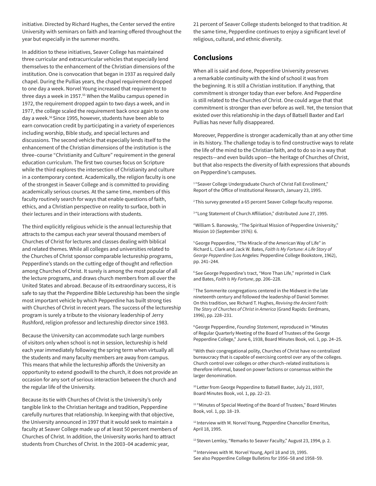initiative. Directed by Richard Hughes, the Center served the entire University with seminars on faith and learning offered throughout the year but especially in the summer months.

In addition to these initiatives, Seaver College has maintained three curricular and extracurricular vehicles that especially lend themselves to the enhancement of the Christian dimensions of the institution. One is convocation that began in 1937 as required daily chapel. During the Pullias years, the chapel requirement dropped to one day a week. Norvel Young increased that requirement to three days a week in 1957.<sup>55</sup> When the Malibu campus opened in 1972, the requirement dropped again to two days a week, and in 1977, the college scaled the requirement back once again to one day a week.56 Since 1995, however, students have been able to earn convocation credit by participating in a variety of experiences including worship, Bible study, and special lectures and discussions. The second vehicle that especially lends itself to the enhancement of the Christian dimensions of the institution is the three–course "Christianity and Culture" requirement in the general education curriculum. The first two courses focus on Scripture while the third explores the intersection of Christianity and culture in a contemporary context. Academically, the religion faculty is one of the strongest in Seaver College and is committed to providing academically serious courses. At the same time, members of this faculty routinely search for ways that enable questions of faith, ethics, and a Christian perspective on reality to surface, both in their lectures and in their interactions with students.

The third explicitly religious vehicle is the annual lectureship that attracts to the campus each year several thousand members of Churches of Christ for lectures and classes dealing with biblical and related themes. While all colleges and universities related to the Churches of Christ sponsor comparable lectureship programs, Pepperdine's stands on the cutting edge of thought and reflection among Churches of Christ. It surely is among the most popular of all the lecture programs, and draws church members from all over the United States and abroad. Because of its extraordinary success, it is safe to say that the Pepperdine Bible Lectureship has been the single most important vehicle by which Pepperdine has built strong ties with Churches of Christ in recent years. The success of the lectureship program is surely a tribute to the visionary leadership of Jerry Rushford, religion professor and lectureship director since 1983.

Because the University can accommodate such large numbers of visitors only when school is not in session, lectureship is held each year immediately following the spring term when virtually all the students and many faculty members are away from campus. This means that while the lectureship affords the University an opportunity to extend goodwill to the church, it does not provide an occasion for any sort of serious interaction between the church and the regular life of the University.

Because its tie with Churches of Christ is the University's only tangible link to the Christian heritage and tradition, Pepperdine carefully nurtures that relationship. In keeping with that objective, the University announced in 1997 that it would seek to maintain a faculty at Seaver College made up of at least 50 percent members of Churches of Christ. In addition, the University works hard to attract students from Churches of Christ. In the 2003–04 academic year,

21 percent of Seaver College students belonged to that tradition. At the same time, Pepperdine continues to enjoy a significant level of religious, cultural, and ethnic diversity.

### **Conclusions**

When all is said and done, Pepperdine University preserves a remarkable continuity with the kind of school it was from the beginning. It is still a Christian institution. If anything, that commitment is stronger today than ever before. And Pepperdine is still related to the Churches of Christ. One could argue that that commitment is stronger than ever before as well. Yet, the tension that existed over this relationship in the days of Batsell Baxter and Earl Pullias has never fully disappeared.

Moreover, Pepperdine is stronger academically than at any other time in its history. The challenge today is to find constructive ways to relate the life of the mind to the Christian faith, and to do so in a way that respects—and even builds upon—the heritage of Churches of Christ, but that also respects the diversity of faith expressions that abounds on Pepperdine's campuses.

<sup>1</sup> "Seaver College Undergraduate Church of Christ Fall Enrollment," Report of the Office of Institutional Research, January 23, 1995.

<sup>2</sup> This survey generated a 65 percent Seaver College faculty response.

<sup>3</sup> "Long Statement of Church Affiliation," distributed June 27, 1995.

4 William S. Banowsky, "The Spiritual Mission of Pepperdine University," Mission 10 (September 1976): 6.

5 George Pepperdine, "The Miracle of the American Way of Life" in Richard L. Clark and Jack W. Bates, *Faith Is My Fortune: A Life Story of George Pepperdine* (Los Angeles: Pepperdine College Bookstore, 1962), pp. 241–244.

<sup>6</sup> See George Pepperdine's tract, "More Than Life," reprinted in Clark and Bates, *Faith Is My Fortune*, pp. 206–228.

<sup>7</sup> The Sommerite congregations centered in the Midwest in the late nineteenth century and followed the leadership of Daniel Sommer. On this tradition, see Richard T. Hughes, *Reviving the Ancient Faith: The Story of Churches of Christ in America* (Grand Rapids: Eerdmans, 1996), pp. 228–231.

8 George Pepperdine, *Founding Statement*, reproduced in "Minutes of Regular Quarterly Meeting of the Board of Trustees of the George Pepperdine College," June 6, 1938, Board Minutes Book, vol. 1, pp. 24–25.

9 With their congregational polity, Churches of Christ have no centralized bureaucracy that is capable of exercising control over any of the colleges. Church control over colleges or other church–related institutions is therefore informal, based on power factions or consensus within the larger denomination.

<sup>10</sup> Letter from George Pepperdine to Batsell Baxter, July 21, 1937, Board Minutes Book, vol. 1, pp. 22–23.

<sup>11</sup> "Minutes of Special Meeting of the Board of Trustees," Board Minutes Book, vol. 1, pp. 18–19.

<sup>12</sup> Interview with M. Norvel Young, Pepperdine Chancellor Emeritus, April 18, 1995.

<sup>13</sup> Steven Lemley, "Remarks to Seaver Faculty," August 23, 1994, p. 2.

<sup>14</sup> Interviews with M. Norvel Young, April 18 and 19, 1995. See also Pepperdine College Bulletins for 1956–58 and 1958–59.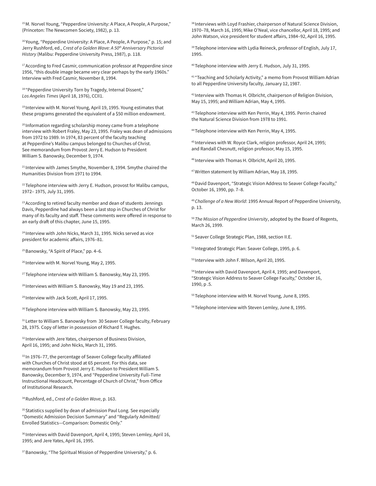<sup>15</sup> M. Norvel Young, "Pepperdine University: A Place, A People, A Purpose," (Princeton: The Newcomen Society, 1982), p. 13.

<sup>16</sup> Young, "Pepperdine University: A Place, A People, A Purpose," p. 15; and Jerry Rushford, ed., *Crest of a Golden Wave: A 50th Anniversary Pictorial History* (Malibu: Pepperdine University Press, 1987), p. 118.

<sup>17</sup> According to Fred Casmir, communication professor at Pepperdine since 1956, "this double image became very clear perhaps by the early 1960s." Interview with Fred Casmir, November 8, 1994.

18 "Pepperdine University Torn by Tragedy, Internal Dissent," *Los Angeles Times* (April 18, 1976), CCII1.

<sup>19</sup> Interview with M. Norvel Young, April 19, 1995. Young estimates that these programs generated the equivalent of a \$50 million endowment.

<sup>20</sup> Information regarding scholarship money came from a telephone interview with Robert Fraley, May 23, 1995. Fraley was dean of admissions from 1972 to 1989. In 1974, 83 percent of the faculty teaching at Pepperdine's Malibu campus belonged to Churches of Christ. See memorandum from Provost Jerry E. Hudson to President William S. Banowsky, December 9, 1974.

<sup>21</sup> Interview with James Smythe, November 8, 1994. Smythe chaired the Humanities Division from 1971 to 1994.

<sup>22</sup> Telephone interview with Jerry E. Hudson, provost for Malibu campus, 1972– 1975, July 31, 1995.

<sup>23</sup> According to retired faculty member and dean of students Jennings Davis, Pepperdine had always been a last stop in Churches of Christ for many of its faculty and staff. These comments were offered in response to an early draft of this chapter, June 15, 1995.

<sup>24</sup> Interview with John Nicks, March 31, 1995. Nicks served as vice president for academic affairs, 1976–81.

25 Banowsky, "A Spirit of Place," pp. 4–6.

<sup>26</sup> Interview with M. Norvel Young, May 2, 1995.

<sup>27</sup> Telephone interview with William S. Banowsky, May 23, 1995.

<sup>28</sup> Interviews with William S. Banowsky, May 19 and 23, 1995.

29 Interview with Jack Scott, April 17, 1995.

<sup>30</sup> Telephone interview with William S. Banowsky, May 23, 1995.

<sup>31</sup> Letter to William S. Banowsky from 30 Seaver College faculty, February 28, 1975. Copy of letter in possession of Richard T. Hughes.

<sup>32</sup> Interview with Jere Yates, chairperson of Business Division, April 16, 1995; and John Nicks, March 31, 1995.

33 In 1976-77, the percentage of Seaver College faculty affiliated with Churches of Christ stood at 65 percent. For this data, see memorandum from Provost Jerry E. Hudson to President William S. Banowsky, December 9, 1974, and "Pepperdine University Full–Time Instructional Headcount, Percentage of Church of Christ," from Office of Institutional Research.

34 Rushford, ed., *Crest of a Golden Wave*, p. 163.

<sup>35</sup> Statistics supplied by dean of admission Paul Long. See especially "Domestic Admission Decision Summary" and "Regularly Admitted/ Enrolled Statistics—Comparison: Domestic Only."

<sup>36</sup> Interviews with David Davenport, April 4, 1995; Steven Lemley, April 16, 1995; and Jere Yates, April 16, 1995.

37 Banowsky, "The Spiritual Mission of Pepperdine University," p. 6.

38 Interviews with Loyd Frashier, chairperson of Natural Science Division, 1970–78, March 16, 1995; Mike O'Neal, vice chancellor, April 18, 1995; and John Watson, vice president for student affairs, 1984–92, April 16, 1995.

<sup>39</sup> Telephone interview with Lydia Reineck, professor of English, July 17, 1995.

<sup>40</sup> Telephone interview with Jerry E. Hudson, July 31, 1995.

<sup>41</sup> "Teaching and Scholarly Activity," a memo from Provost William Adrian to all Pepperdine University faculty, January 12, 1987.

42 Interview with Thomas H. Olbricht, chairperson of Religion Division, May 15, 1995; and William Adrian, May 4, 1995.

43 Telephone interview with Ken Perrin, May 4, 1995. Perrin chaired the Natural Science Division from 1978 to 1991.

44 Telephone interview with Ken Perrin, May 4, 1995.

45 Interviews with W. Royce Clark, religion professor, April 24, 1995; and Randall Chesnutt, religion professor, May 15, 1995.

46 Interview with Thomas H. Olbricht, April 20, 1995.

47 Written statement by William Adrian, May 18, 1995.

48 David Davenport, "Strategic Vision Address to Seaver College Faculty," October 16, 1990, pp. 7–8.

<sup>49</sup>*Challenge of a New World*: 1995 Annual Report of Pepperdine University, p. 13.

<sup>50</sup>*The Mission of Pepperdine University*, adopted by the Board of Regents, March 26, 1999.

51 Seaver College Strategic Plan, 1988, section II.E.

52 Integrated Strategic Plan: Seaver College, 1995, p. 6.

53 Interview with John F. Wilson, April 20, 1995.

54 Interview with David Davenport, April 4, 1995; and Davenport, "Strategic Vision Address to Seaver College Faculty," October 16, 1990, p .5.

55 Telephone interview with M. Norvel Young, June 8, 1995.

<sup>56</sup> Telephone interview with Steven Lemley, June 8, 1995.